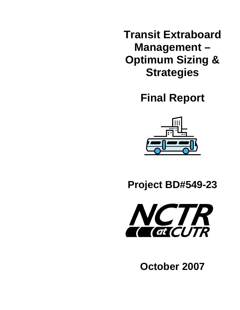**Transit Extraboard Management – Optimum Sizing & Strategies** 

**Final Report** 



**Project BD#549-23**



**October 2007**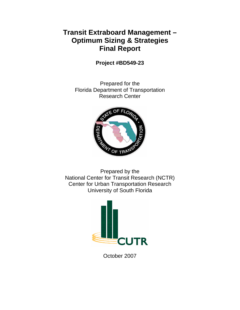# **Transit Extraboard Management – Optimum Sizing & Strategies Final Report**

**Project #BD549-23** 

Prepared for the Florida Department of Transportation Research Center



Prepared by the National Center for Transit Research (NCTR) Center for Urban Transportation Research University of South Florida



October 2007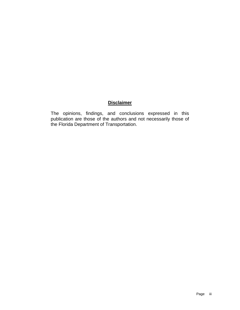## **Disclaimer**

The opinions, findings, and conclusions expressed in this publication are those of the authors and not necessarily those of the Florida Department of Transportation.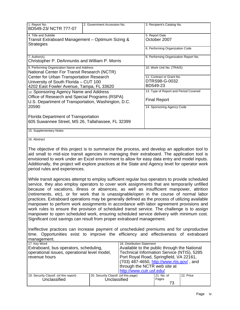| 1. Report No.<br>BD549-23/NCTR 777-07                                                                                                                    | 2. Government Accession No. | 3. Recipient's Catalog No.                                                                                                                                                                                                                                                                                                                                                                        |  |  |  |
|----------------------------------------------------------------------------------------------------------------------------------------------------------|-----------------------------|---------------------------------------------------------------------------------------------------------------------------------------------------------------------------------------------------------------------------------------------------------------------------------------------------------------------------------------------------------------------------------------------------|--|--|--|
| 4. Title and Subtitle<br>Transit Extraboard Management - Optimum Sizing &<br><b>Strategies</b>                                                           |                             | 5. Report Date<br>October 2007                                                                                                                                                                                                                                                                                                                                                                    |  |  |  |
|                                                                                                                                                          |                             | 6. Performing Organization Code                                                                                                                                                                                                                                                                                                                                                                   |  |  |  |
| 7. Author(s)<br>Christopher P. DeAnnuntis and William P. Morris                                                                                          |                             | 8. Performing Organization Report No.                                                                                                                                                                                                                                                                                                                                                             |  |  |  |
| 9. Performing Organization Name and Address<br>National Center For Transit Research (NCTR)                                                               |                             | 10. Work Unit No. (TRAIS)                                                                                                                                                                                                                                                                                                                                                                         |  |  |  |
| Center for Urban Transportation Research                                                                                                                 |                             | 11. Contract or Grant No.                                                                                                                                                                                                                                                                                                                                                                         |  |  |  |
| University of South Florida - CUT 100                                                                                                                    |                             | DTRS98-G-0032                                                                                                                                                                                                                                                                                                                                                                                     |  |  |  |
| 4202 East Fowler Avenue, Tampa, FL 33620                                                                                                                 |                             | BD549-23                                                                                                                                                                                                                                                                                                                                                                                          |  |  |  |
| 12. Sponsoring Agency Name and Address<br>Office of Research and Special Programs (RSPA)<br>U.S. Department of Transportation, Washington, D.C.<br>20590 |                             | 13. Type of Report and Period Covered                                                                                                                                                                                                                                                                                                                                                             |  |  |  |
|                                                                                                                                                          |                             | <b>Final Report</b>                                                                                                                                                                                                                                                                                                                                                                               |  |  |  |
|                                                                                                                                                          |                             | 14. Sponsoring Agency Code                                                                                                                                                                                                                                                                                                                                                                        |  |  |  |
| Florida Department of Transportation                                                                                                                     |                             |                                                                                                                                                                                                                                                                                                                                                                                                   |  |  |  |
| 605 Suwannee Street, MS 26, Tallahassee, FL 32399                                                                                                        |                             |                                                                                                                                                                                                                                                                                                                                                                                                   |  |  |  |
| 15. Supplementary Notes                                                                                                                                  |                             |                                                                                                                                                                                                                                                                                                                                                                                                   |  |  |  |
| 16. Abstract                                                                                                                                             |                             |                                                                                                                                                                                                                                                                                                                                                                                                   |  |  |  |
|                                                                                                                                                          |                             | The objective of this project is to summarize the process, and develop an application tool to<br>aid small to mid-size transit agencies in managing their extraboard. The application tool is<br>envisioned to work under an Excel environment to allow for easy data entry and model inputs.<br>Additionally, the project will explore practices at the State and Agency level for operator work |  |  |  |

While transit agencies attempt to employ sufficient regular bus operators to provide scheduled service, they also employ operators to cover work assignments that are temporarily unfilled because of vacations, illness or absences, as well as insufficient manpower, attrition (retirements, etc), or for work that is unassignable/open in the course of normal labor practices. Extraboard operations may be generally defined as the process of utilizing available manpower to perform work assignments in accordance with labor agreement provisions and work rules to ensure the provision of scheduled transit service. The challenge is to assign manpower to open scheduled work, ensuring scheduled service delivery with minimum cost. Significant cost savings can result from proper extraboard management.

period rules and experiences.

Ineffective practices can increase payment of unscheduled premiums and for unproductive time. Opportunities exist to improve the efficiency and effectiveness of extraboard management.

| 17. Key Word                                 |                                        |                                      | 18. Distribution Statement                   |            |           |  |
|----------------------------------------------|----------------------------------------|--------------------------------------|----------------------------------------------|------------|-----------|--|
| Extraboard, bus operators, scheduling,       |                                        |                                      | Available to the public through the National |            |           |  |
| operational issues, operational level model, |                                        |                                      | Technical Information Service (NTIS), 5285   |            |           |  |
|                                              | revenue hours                          |                                      | Port Royal Road, Springfield, VA 22161,      |            |           |  |
|                                              |                                        |                                      |                                              |            |           |  |
|                                              |                                        |                                      | (703) 487-4650, http://www.rtis.gov/, and    |            |           |  |
|                                              |                                        |                                      | through the NCTR web site at                 |            |           |  |
|                                              |                                        |                                      | http://www.cutr.usf.edu/                     |            |           |  |
|                                              |                                        |                                      |                                              |            |           |  |
|                                              | 19. Security Classif. (of this report) | 20. Security Classif. (of this page) |                                              | 21. No. of | 22. Price |  |
|                                              | Unclassified                           | Unclassified                         |                                              | Pages      |           |  |
|                                              |                                        |                                      |                                              | 73         |           |  |
|                                              |                                        |                                      |                                              |            |           |  |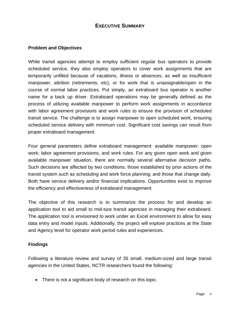## **EXECUTIVE SUMMARY**

#### **Problem and Objectives**

While transit agencies attempt to employ sufficient regular bus operators to provide scheduled service, they also employ operators to cover work assignments that are temporarily unfilled because of vacations, illness or absences, as well as insufficient manpower, attrition (retirements, etc), or for work that is unassignable/open in the course of normal labor practices. Put simply, an extraboard bus operator is another name for a back up driver. Extraboard operations may be generally defined as the process of utilizing available manpower to perform work assignments in accordance with labor agreement provisions and work rules to ensure the provision of scheduled transit service. The challenge is to assign manpower to open scheduled work, ensuring scheduled service delivery with minimum cost. Significant cost savings can result from proper extraboard management.

Four general parameters define extraboard management: available manpower; open work; labor agreement provisions, and work rules. For any given open work and given available manpower situation, there are normally several alternative decision paths. Such decisions are affected by two conditions: those established by prior actions of the transit system such as scheduling and work force planning; and those that change daily. Both have service delivery and/or financial implications. Opportunities exist to improve the efficiency and effectiveness of extraboard management.

The objective of this research is to summarize the process for and develop an application tool to aid small to mid-size transit agencies in managing their extraboard. The application tool is envisioned to work under an Excel environment to allow for easy data entry and model inputs. Additionally, the project will explore practices at the State and Agency level for operator work period rules and experiences.

#### **Findings**

Following a literature review and survey of 35 small, medium-sized and large transit agencies in the United States, NCTR researchers found the following:

• There is not a significant body of research on this topic.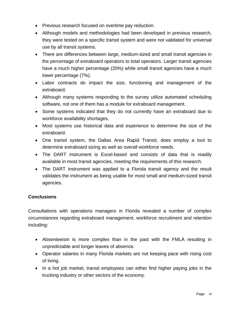- Previous research focused on overtime pay reduction.
- Although models and methodologies had been developed in previous research, they were tested on a specific transit system and were not validated for universal use by all transit systems.
- There are differences between large, medium-sized and small transit agencies in the percentage of extraboard operators to total operators. Larger transit agencies have a much higher percentage (20%) while small transit agencies have a much lower percentage (7%).
- Labor contracts do impact the size, functioning and management of the extraboard.
- Although many systems responding to the survey utilize automated scheduling software, not one of them has a module for extraboard management.
- Some systems indicated that they do not currently have an extraboard due to workforce availability shortages.
- Most systems use historical data and experience to determine the size of the extraboard.
- One transit system, the Dallas Area Rapid Transit, does employ a tool to determine extraboard sizing as well as overall workforce needs.
- The DART instrument is Excel-based and consists of data that is readily available in most transit agencies, meeting the requirements of this research.
- The DART instrument was applied to a Florida transit agency and the result validates the instrument as being usable for most small and medium-sized transit agencies.

## **Conclusions**

Consultations with operations managers in Florida revealed a number of complex circumstances regarding extraboard management, workforce recruitment and retention including:

- Absenteeism is more complex than in the past with the FMLA resulting in unpredictable and longer leaves of absence.
- Operator salaries in many Florida markets are not keeping pace with rising cost of living.
- In a hot job market, transit employees can either find higher paying jobs in the trucking industry or other sectors of the economy.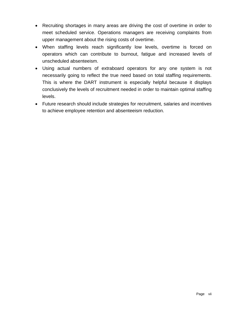- Recruiting shortages in many areas are driving the cost of overtime in order to meet scheduled service. Operations managers are receiving complaints from upper management about the rising costs of overtime.
- When staffing levels reach significantly low levels, overtime is forced on operators which can contribute to burnout, fatigue and increased levels of unscheduled absenteeism.
- Using actual numbers of extraboard operators for any one system is not necessarily going to reflect the true need based on total staffing requirements. This is where the DART instrument is especially helpful because it displays conclusively the levels of recruitment needed in order to maintain optimal staffing levels.
- Future research should include strategies for recruitment, salaries and incentives to achieve employee retention and absenteeism reduction.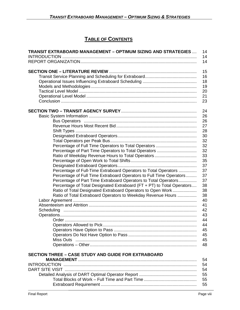# **TABLE OF CONTENTS**

| <b>TRANSIT EXTRABOARD MANAGEMENT - OPTIMUM SIZING AND STRATEGIES</b>   | 14<br>14 |
|------------------------------------------------------------------------|----------|
|                                                                        | 14       |
|                                                                        | 15       |
|                                                                        | 16       |
|                                                                        | 18       |
|                                                                        | 19       |
|                                                                        | 20       |
|                                                                        | 21       |
|                                                                        | 23       |
|                                                                        | 24       |
|                                                                        | 26       |
|                                                                        | 26       |
|                                                                        | 27       |
|                                                                        | 28       |
|                                                                        | 30       |
|                                                                        | 32       |
|                                                                        | 32       |
|                                                                        | 32       |
|                                                                        | 33       |
|                                                                        | 35       |
|                                                                        | 37       |
| Percentage of Full-Time Extraboard Operators to Total Operators        | 37       |
| Percentage of Full Time Extraboard Operators to Full Time Operators    | 37       |
| Percentage of Part Time Extraboard Operators to Total Operators        | 37       |
| Percentage of Total Designated Extraboard (FT + PT) to Total Operators | 38       |
| Ratio of Total Designated Extraboard Operators to Open Work            | 38       |
| Ratio of Total Extraboard Operators to Weekday Revenue Hours           | 38       |
|                                                                        | 40       |
|                                                                        | 41       |
|                                                                        | 42       |
|                                                                        | 43       |
|                                                                        | 44       |
|                                                                        | 44       |
|                                                                        | 45       |
|                                                                        | 45       |
|                                                                        | 45       |
|                                                                        | 48       |
|                                                                        |          |
| <b>SECTION THREE - CASE STUDY AND GUIDE FOR EXTRABOARD</b>             |          |
|                                                                        | 54<br>54 |
|                                                                        | 54       |
|                                                                        | 55       |
|                                                                        |          |
|                                                                        | 55<br>55 |
|                                                                        |          |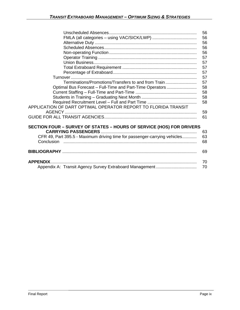|                                                                           | 56 |
|---------------------------------------------------------------------------|----|
|                                                                           | 56 |
|                                                                           | 56 |
|                                                                           | 56 |
|                                                                           | 56 |
|                                                                           | 57 |
|                                                                           | 57 |
|                                                                           | 57 |
|                                                                           | 57 |
|                                                                           | 57 |
| Terminations/Promotions/Transfers to and from Train                       | 57 |
| Optimal Bus Forecast - Full-Time and Part-Time Operators                  | 58 |
|                                                                           | 58 |
|                                                                           | 58 |
|                                                                           | 58 |
| APPLICATION OF DART OPTIMAL OPERATOR REPORT TO FLORIDA TRANSIT            |    |
|                                                                           | 59 |
|                                                                           | 61 |
| SECTION FOUR - SURVEY OF STATES - HOURS OF SERVICE (HOS) FOR DRIVERS      |    |
|                                                                           | 63 |
| CFR 49, Part 395.5 - Maximum driving time for passenger-carrying vehicles | 63 |
|                                                                           | 68 |
|                                                                           |    |
|                                                                           | 69 |
| <b>APPENDIX</b>                                                           | 70 |
|                                                                           | 70 |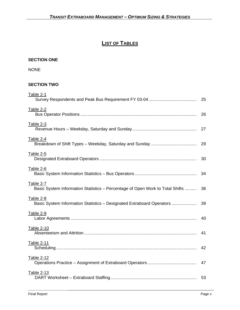# **LIST OF TABLES**

#### **SECTION ONE**

NONE

#### **SECTION TWO**

| Table 2-1                                                                                  | 25 |
|--------------------------------------------------------------------------------------------|----|
| <b>Table 2-2</b>                                                                           | 26 |
| Table 2-3                                                                                  | 27 |
| Table 2-4                                                                                  | 29 |
| <b>Table 2-5</b>                                                                           | 30 |
| <u>Table 2-6</u>                                                                           | 34 |
| Table 2-7<br>Basic System Information Statistics - Percentage of Open Work to Total Shifts | 36 |
| Table 2-8<br>Basic System Information Statistics - Designated Extraboard Operators         | 39 |
| Table 2-9                                                                                  | 40 |
| Table 2-10                                                                                 | 41 |
| Table 2-11                                                                                 | 42 |
| Table 2-12                                                                                 | 47 |
| <b>Table 2-13</b>                                                                          |    |
|                                                                                            |    |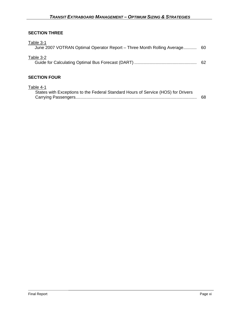## **SECTION THREE**

| Table 3-1<br>June 2007 VOTRAN Optimal Operator Report – Three Month Rolling Average 60 |    |
|----------------------------------------------------------------------------------------|----|
| Table 3-2                                                                              | 62 |
| <b>SECTION FOUR</b>                                                                    |    |

## Table 4-1

| States with Exceptions to the Federal Standard Hours of Service (HOS) for Drivers |     |
|-----------------------------------------------------------------------------------|-----|
|                                                                                   | 68. |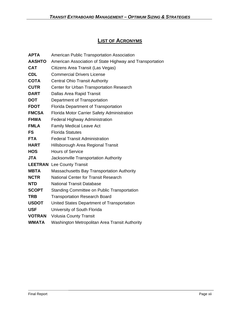## **LIST OF ACRONYMS**

| <b>APTA</b>   | American Public Transportation Association               |
|---------------|----------------------------------------------------------|
| <b>AASHTO</b> | American Association of State Highway and Transportation |
| <b>CAT</b>    | Citizens Area Transit (Las Vegas)                        |
| <b>CDL</b>    | <b>Commercial Drivers License</b>                        |
| <b>COTA</b>   | <b>Central Ohio Transit Authority</b>                    |
| <b>CUTR</b>   | Center for Urban Transportation Research                 |
| <b>DART</b>   | Dallas Area Rapid Transit                                |
| <b>DOT</b>    | Department of Transportation                             |
| <b>FDOT</b>   | Florida Department of Transportation                     |
| <b>FMCSA</b>  | Florida Motor Carrier Safety Administration              |
| <b>FHWA</b>   | Federal Highway Administration                           |
| <b>FMLA</b>   | <b>Family Medical Leave Act</b>                          |
| FS            | <b>Florida Statutes</b>                                  |
| <b>FTA</b>    | <b>Federal Transit Administration</b>                    |
| <b>HART</b>   | Hillsborough Area Regional Transit                       |
| <b>HOS</b>    | <b>Hours of Service</b>                                  |
| <b>JTA</b>    | Jacksonville Transportation Authority                    |
|               | <b>LEETRAN</b> Lee County Transit                        |
| <b>MBTA</b>   | <b>Massachusetts Bay Transportation Authority</b>        |
| <b>NCTR</b>   | <b>National Center for Transit Research</b>              |
| <b>NTD</b>    | <b>National Transit Database</b>                         |
| <b>SCOPT</b>  | Standing Committee on Public Transportation              |
| <b>TRB</b>    | <b>Transportation Research Board</b>                     |
| <b>USDOT</b>  | United States Department of Transportation               |
| <b>USF</b>    | University of South Florida                              |
| <b>VOTRAN</b> | <b>Volusia County Transit</b>                            |
| <b>WMATA</b>  | Washington Metropolitan Area Transit Authority           |
|               |                                                          |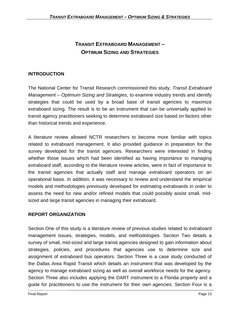# **TRANSIT EXTRABOARD MANAGEMENT – OPTIMUM SIZING AND STRATEGIES**

## **INTRODUCTION**

The National Center for Transit Research commissioned this study, *Transit Extraboard Management – Optimum Sizing and Strategies,* to examine industry trends and identify strategies that could be used by a broad base of transit agencies to maximize extraboard sizing. The result is to be an instrument that can be universally applied to transit agency practitioners seeking to determine extraboard size based on factors other than historical trends and experience.

A literature review allowed NCTR researchers to become more familiar with topics related to extraboard management. It also provided guidance in preparation for the survey developed for the transit agencies. Researchers were interested in finding whether those issues which had been identified as having importance to managing extraboard staff, according to the literature review articles, were in fact of importance to the transit agencies that actually staff and manage extraboard operators on an operational basis. In addition, it was necessary to review and understand the empirical models and methodologies previously developed for estimating extraboards in order to assess the need for new and/or refined models that could possibly assist small, midsized and large transit agencies in managing their extraboard.

## **REPORT ORGANIZATION**

Section One of this study is a literature review of previous studies related to extraboard management issues, strategies, models, and methodologies. Section Two details a survey of small, mid-sized and large transit agencies designed to gain information about strategies, policies, and procedures that agencies use to determine size and assignment of extraboard bus operators. Section Three is a case study conducted of the Dallas Area Rapid Transit which details an instrument that was developed by the agency to manage extraboard sizing as well as overall workforce needs for the agency. Section Three also includes applying the DART instrument to a Florida property and a guide for practitioners to use the instrument for their own agencies. Section Four is a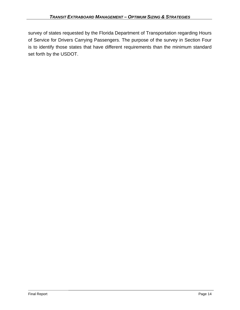survey of states requested by the Florida Department of Transportation regarding Hours of Service for Drivers Carrying Passengers. The purpose of the survey in Section Four is to identify those states that have different requirements than the minimum standard set forth by the USDOT.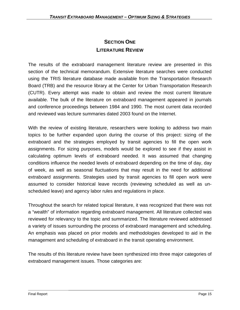# **SECTION ONE LITERATURE REVIEW**

The results of the extraboard management literature review are presented in this section of the technical memorandum. Extensive literature searches were conducted using the TRIS literature database made available from the Transportation Research Board (TRB) and the resource library at the Center for Urban Transportation Research (CUTR). Every attempt was made to obtain and review the most current literature available. The bulk of the literature on extraboard management appeared in journals and conference proceedings between 1984 and 1990. The most current data recorded and reviewed was lecture summaries dated 2003 found on the Internet.

With the review of existing literature, researchers were looking to address two main topics to be further expanded upon during the course of this project: sizing of the extraboard and the strategies employed by transit agencies to fill the open work assignments. For sizing purposes, models would be explored to see if they assist in calculating optimum levels of extraboard needed. It was assumed that changing conditions influence the needed levels of extraboard depending on the time of day, day of week, as well as seasonal fluctuations that may result in the need for additional extraboard assignments. Strategies used by transit agencies to fill open work were assumed to consider historical leave records (reviewing scheduled as well as unscheduled leave) and agency labor rules and regulations in place.

Throughout the search for related topical literature, it was recognized that there was not a "wealth" of information regarding extraboard management. All literature collected was reviewed for relevancy to the topic and summarized. The literature reviewed addressed a variety of issues surrounding the process of extraboard management and scheduling. An emphasis was placed on prior models and methodologies developed to aid in the management and scheduling of extraboard in the transit operating environment.

The results of this literature review have been synthesized into three major categories of extraboard management issues. Those categories are: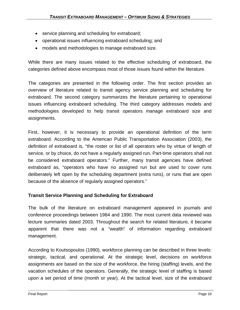- service planning and scheduling for extraboard;
- operational issues influencing extraboard scheduling; and
- models and methodologies to manage extraboard size.

While there are many issues related to the effective scheduling of extraboard, the categories defined above encompass most of those issues found within the literature.

The categories are presented in the following order. The first section provides an overview of literature related to transit agency service planning and scheduling for extraboard. The second category summarizes the literature pertaining to operational issues influencing extraboard scheduling. The third category addresses models and methodologies developed to help transit operators manage extraboard size and assignments.

First, however, it is necessary to provide an operational definition of the term extraboard. According to the American Public Transportation Association (2003), the definition of extraboard is, "the roster or list of all operators who by virtue of length of service, or by choice, do not have a regularly assigned run. Part-time operators shall not be considered extraboard operators." Further, many transit agencies have defined extraboard as, "operators who have no assigned run but are used to cover runs deliberately left open by the scheduling department (extra runs), or runs that are open because of the absence of regularly assigned operators."

## **Transit Service Planning and Scheduling for Extraboard**

The bulk of the literature on extraboard management appeared in journals and conference proceedings between 1984 and 1990. The most current data reviewed was lecture summaries dated 2003. Throughout the search for related literature, it became apparent that there was not a "wealth" of information regarding extraboard management.

According to Koutsopoulos (1990), workforce planning can be described in three levels: strategic, tactical, and operational. At the strategic level, decisions on workforce assignments are based on the size of the workforce, the hiring (staffing) levels, and the vacation schedules of the operators. Generally, the strategic level of staffing is based upon a set period of time (month or year). At the tactical level, size of the extraboard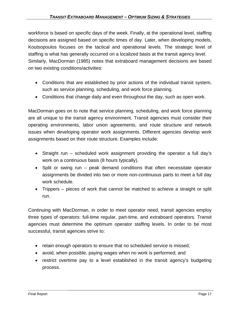workforce is based on specific days of the week. Finally, at the operational level, staffing decisions are assigned based on specific times of day. Later, when developing models, Koutsopoulos focuses on the tactical and operational levels. The strategic level of staffing is what has generally occurred on a localized basis at the transit agency level. Similarly, MacDorman (1985) notes that extraboard management decisions are based on two existing conditions/activities:

- Conditions that are established by prior actions of the individual transit system, such as service planning, scheduling, and work force planning.
- Conditions that change daily and even throughout the day, such as open work.

MacDorman goes on to note that service planning, scheduling, and work force planning are all unique to the transit agency environment. Transit agencies must consider their operating environments, labor union agreements, and route structure and network issues when developing operator work assignments. Different agencies develop work assignments based on their route structure. Examples include:

- Straight run scheduled work assignment providing the operator a full day's work on a continuous basis (8 hours typically).
- Split or swing run peak demand conditions that often necessitate operator assignments be divided into two or more non-continuous parts to meet a full day work schedule.
- Trippers pieces of work that cannot be matched to achieve a straight or split run.

Continuing with MacDorman, in order to meet operator need, transit agencies employ three types of operators: full-time regular, part-time, and extraboard operators. Transit agencies must determine the optimum operator staffing levels. In order to be most successful, transit agencies strive to:

- retain enough operators to ensure that no scheduled service is missed;
- avoid, when possible, paying wages when no work is performed; and
- restrict overtime pay to a level established in the transit agency's budgeting process.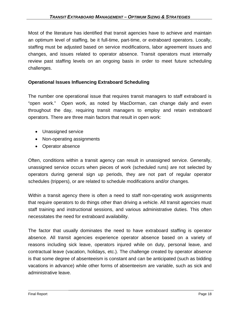Most of the literature has identified that transit agencies have to achieve and maintain an optimum level of staffing, be it full-time, part-time, or extraboard operators. Locally, staffing must be adjusted based on service modifications, labor agreement issues and changes, and issues related to operator absence. Transit operators must internally review past staffing levels on an ongoing basis in order to meet future scheduling challenges.

## **Operational Issues Influencing Extraboard Scheduling**

The number one operational issue that requires transit managers to staff extraboard is "open work." Open work, as noted by MacDorman, can change daily and even throughout the day, requiring transit managers to employ and retain extraboard operators. There are three main factors that result in open work:

- Unassigned service
- Non-operating assignments
- Operator absence

Often, conditions within a transit agency can result in unassigned service. Generally, unassigned service occurs when pieces of work (scheduled runs) are not selected by operators during general sign up periods, they are not part of regular operator schedules (trippers), or are related to schedule modifications and/or changes.

Within a transit agency there is often a need to staff non-operating work assignments that require operators to do things other than driving a vehicle. All transit agencies must staff training and instructional sessions, and various administrative duties. This often necessitates the need for extraboard availability.

The factor that usually dominates the need to have extraboard staffing is operator absence. All transit agencies experience operator absence based on a variety of reasons including sick leave, operators injured while on duty, personal leave, and contractual leave (vacation, holidays, etc.). The challenge created by operator absence is that some degree of absenteeism is constant and can be anticipated (such as bidding vacations in advance) while other forms of absenteeism are variable, such as sick and administrative leave.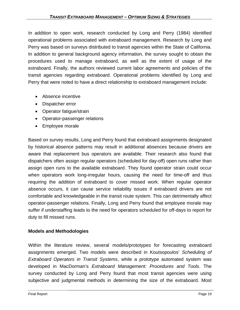In addition to open work, research conducted by Long and Perry (1984) identified operational problems associated with extraboard management. Research by Long and Perry was based on surveys distributed to transit agencies within the State of California. In addition to general background agency information, the survey sought to obtain the procedures used to manage extraboard, as well as the extent of usage of the extraboard. Finally, the authors reviewed current labor agreements and policies of the transit agencies regarding extraboard. Operational problems identified by Long and Perry that were noted to have a direct relationship to extraboard management include:

- Absence incentive
- Dispatcher error
- Operator fatigue/strain
- Operator-passenger relations
- Employee morale

Based on survey results, Long and Perry found that extraboard assignments designated by historical absence patterns may result in additional absences because drivers are aware that replacement bus operators are available. Their research also found that dispatchers often assign regular operators (scheduled for day-off) open runs rather than assign open runs to the available extraboard. They found operator strain could occur when operators work long-irregular hours, causing the need for time-off and thus requiring the addition of extraboard to cover missed work. When regular operator absence occurs, it can cause service reliability issues if extraboard drivers are not comfortable and knowledgeable in the transit route system. This can detrimentally affect operator-passenger relations. Finally, Long and Perry found that employee morale may suffer if understaffing leads to the need for operators scheduled for off-days to report for duty to fill missed runs.

#### **Models and Methodologies**

Within the literature review, several models/prototypes for forecasting extraboard assignments emerged. Two models were described in Koutsopoulos' *Scheduling of Extraboard Operators in Transit Systems*, while a prototype automated system was developed in MacDorman's *Extraboard Management: Procedures and Tools*. The survey conducted by Long and Perry found that most transit agencies were using subjective and judgmental methods in determining the size of the extraboard. Most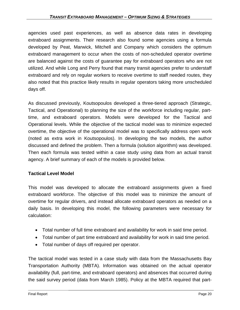agencies used past experiences, as well as absence data rates in developing extraboard assignments. Their research also found some agencies using a formula developed by Peat, Marwick, Mitchell and Company which considers the optimum extraboard management to occur when the costs of non-scheduled operator overtime are balanced against the costs of guarantee pay for extraboard operators who are not utilized. And while Long and Perry found that many transit agencies prefer to understaff extraboard and rely on regular workers to receive overtime to staff needed routes, they also noted that this practice likely results in regular operators taking more unscheduled days off.

As discussed previously, Koutsopoulos developed a three-tiered approach (Strategic, Tactical, and Operational) to planning the size of the workforce including regular, parttime, and extraboard operators. Models were developed for the Tactical and Operational levels. While the objective of the tactical model was to minimize expected overtime, the objective of the operational model was to specifically address open work (noted as extra work in Koutsopoulos). In developing the two models, the author discussed and defined the problem. Then a formula (solution algorithm) was developed. Then each formula was tested within a case study using data from an actual transit agency. A brief summary of each of the models is provided below.

#### **Tactical Level Model**

This model was developed to allocate the extraboard assignments given a fixed extraboard workforce. The objective of this model was to minimize the amount of overtime for regular drivers, and instead allocate extraboard operators as needed on a daily basis. In developing this model, the following parameters were necessary for calculation:

- Total number of full time extraboard and availability for work in said time period.
- Total number of part time extraboard and availability for work in said time period.
- Total number of days off required per operator.

The tactical model was tested in a case study with data from the Massachusetts Bay Transportation Authority (MBTA). Information was obtained on the actual operator availability (full, part-time, and extraboard operators) and absences that occurred during the said survey period (data from March 1985). Policy at the MBTA required that part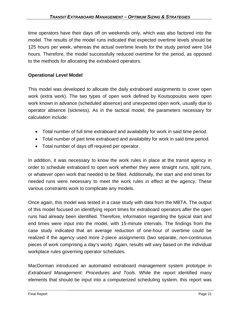time operators have their days off on weekends only, which was also factored into the model. The results of the model runs indicated that expected overtime levels should be 125 hours per week, whereas the actual overtime levels for the study period were 164 hours. Therefore, the model successfully reduced overtime for the period, as opposed to the methods for allocating the extraboard operators.

## **Operational Level Model**

This model was developed to allocate the daily extraboard assignments to cover open work (extra work). The two types of open work defined by Koutsopoulos were open work known in advance (scheduled absence) and unexpected open work, usually due to operator absence (sickness). As in the tactical model, the parameters necessary for calculation include:

- Total number of full time extraboard and availability for work in said time period.
- Total number of part time extraboard and availability for work in said time period.
- Total number of days off required per operator.

In addition, it was necessary to know the work rules in place at the transit agency in order to schedule extraboard to open work whether they were straight runs, split runs, or whatever open work that needed to be filled. Additionally, the start and end times for needed runs were necessary to meet the work rules in effect at the agency. These various constraints work to complicate any models.

Once again, this model was tested in a case study with data from the MBTA. The output of this model focused on identifying report times for extraboard operators after the open runs had already been identified. Therefore, information regarding the typical start and end times were input into the model, with 15-minute intervals. The findings from the case study indicated that an average reduction of one-hour of overtime could be realized if the agency used more 2-piece assignments (two separate, non-continuous pieces of work comprising a day's work). Again, results will vary based on the individual workplace rules governing operator schedules.

MacDorman introduced an automated extraboard management system prototype in *Extraboard Management: Procedures and Tools*. While the report identified many elements that should be input into a computerized scheduling system, this report was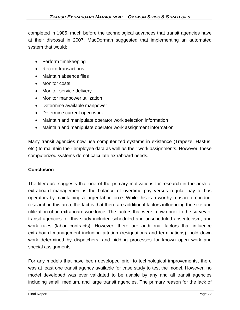completed in 1985, much before the technological advances that transit agencies have at their disposal in 2007. MacDorman suggested that implementing an automated system that would:

- Perform timekeeping
- Record transactions
- Maintain absence files
- Monitor costs
- Monitor service delivery
- Monitor manpower utilization
- Determine available manpower
- Determine current open work
- Maintain and manipulate operator work selection information
- Maintain and manipulate operator work assignment information

Many transit agencies now use computerized systems in existence (Trapeze, Hastus, etc.) to maintain their employee data as well as their work assignments. However, these computerized systems do not calculate extraboard needs.

#### **Conclusion**

The literature suggests that one of the primary motivations for research in the area of extraboard management is the balance of overtime pay versus regular pay to bus operators by maintaining a larger labor force. While this is a worthy reason to conduct research in this area, the fact is that there are additional factors influencing the size and utilization of an extraboard workforce. The factors that were known prior to the survey of transit agencies for this study included scheduled and unscheduled absenteeism, and work rules (labor contracts). However, there are additional factors that influence extraboard management including attrition (resignations and terminations), hold down work determined by dispatchers, and bidding processes for known open work and special assignments.

For any models that have been developed prior to technological improvements, there was at least one transit agency available for case study to test the model. However, no model developed was ever validated to be usable by any and all transit agencies including small, medium, and large transit agencies. The primary reason for the lack of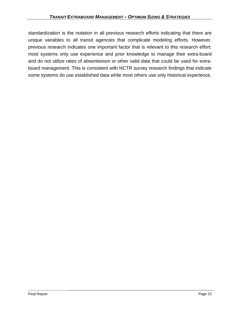standardization is the notation in all previous research efforts indicating that there are unique variables to all transit agencies that complicate modeling efforts. However, previous research indicates one important factor that is relevant to this research effort: most systems only use experience and prior knowledge to manage their extra-board and do not utilize rates of absenteeism or other valid data that could be used for extraboard management. This is consistent with NCTR survey research findings that indicate some systems do use established data while most others use only historical experience.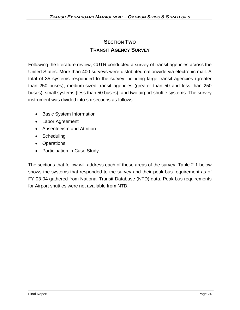# **SECTION TWO TRANSIT AGENCY SURVEY**

Following the literature review, CUTR conducted a survey of transit agencies across the United States. More than 400 surveys were distributed nationwide via electronic mail. A total of 35 systems responded to the survey including large transit agencies (greater than 250 buses), medium-sized transit agencies (greater than 50 and less than 250 buses), small systems (less than 50 buses), and two airport shuttle systems. The survey instrument was divided into six sections as follows:

- Basic System Information
- Labor Agreement
- Absenteeism and Attrition
- Scheduling
- Operations
- Participation in Case Study

The sections that follow will address each of these areas of the survey. Table 2-1 below shows the systems that responded to the survey and their peak bus requirement as of FY 03-04 gathered from National Transit Database (NTD) data. Peak bus requirements for Airport shuttles were not available from NTD.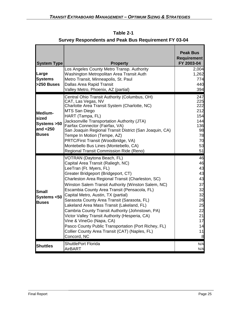| <b>System Type</b>                                             | <b>Property</b>                                                                                                                                                                                                                                                                                                                                                                                                                                                                                                                                                                                                                                                                              | <b>Peak Bus</b><br><b>Requirement</b><br>FY 2003-04                                         |
|----------------------------------------------------------------|----------------------------------------------------------------------------------------------------------------------------------------------------------------------------------------------------------------------------------------------------------------------------------------------------------------------------------------------------------------------------------------------------------------------------------------------------------------------------------------------------------------------------------------------------------------------------------------------------------------------------------------------------------------------------------------------|---------------------------------------------------------------------------------------------|
| Large<br><b>Systems</b><br>>250 Buses                          | Los Angeles County Metro Transp. Authority<br>Washington Metropolitan Area Transit Auth<br>Metro Transit, Minneapolis, St. Paul<br><b>Dallas Area Rapid Transit</b><br>Valley Metro, Phoenix, AZ (partial)                                                                                                                                                                                                                                                                                                                                                                                                                                                                                   | 2,004<br>1,262<br>774<br>440<br>394                                                         |
| Medium-<br>sized<br>Systems >50<br>and $<$ 250<br><b>Buses</b> | Central Ohio Transit Authority (Columbus, OH)<br>CAT, Las Vegas, NV<br>Charlotte Area Transit System (Charlotte, NC)<br>MTS San Diego<br>HART (Tampa, FL)<br>Jacksonville Transportation Authority (JTA)<br>Fairfax Connector (Fairfax, VA)<br>San Joaquin Regional Transit District (San Joaquin, CA)<br>Tempe In Motion (Tempe, AZ)<br>PRTC/First Transit (Woodbridge, VA)<br>Montebello Bus Lines (Montebello, CA)<br>Regional Transit Commission Ride (Reno)                                                                                                                                                                                                                             | 247<br>225<br>222<br>212<br>154<br>144<br>136<br>98<br>78<br>70<br>53<br>51                 |
| <b>Small</b><br>Systems <50<br><b>Buses</b>                    | VOTRAN (Daytona Beach, FL)<br>Capital Area Transit (Raliegh, NC)<br>LeeTran (Ft. Myers, FL)<br>Greater Bridgeport (Bridgeport, CT)<br>Charleston Area Regional Transit (Charleston, SC)<br>Winston Salem Transit Authority (Winston Salem, NC)<br>Escambia County Area Transit (Pensacola, FL)<br>Capital Metro, Austin, TX (partial)<br>Sarasota County Area Transit (Sarasota, FL)<br>Lakeland Area Mass Transit (Lakeland, FL)<br>Cambria County Transit Authority (Johnstown, PA)<br>Victor Valley Transit Authority (Hesperia, CA)<br>Vine & VineGo (Napa, CA)<br>Pasco County Public Transportation (Port Richey, FL)<br>Collier County Area Transit (CAT) (Naples, FL)<br>Concord, NC | 46<br>46<br>43<br>43<br>43<br>37<br>32<br>32<br>26<br>25<br>22<br>21<br>17<br>14<br>11<br>8 |
| <b>Shuttles</b>                                                | <b>ShuttlePort Florida</b><br><b>AirBART</b>                                                                                                                                                                                                                                                                                                                                                                                                                                                                                                                                                                                                                                                 | N/A<br>N/A                                                                                  |

**Table 2-1 Survey Respondents and Peak Bus Requirement FY 03-04**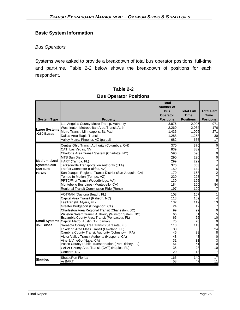## **Basic System Information**

#### *Bus Operators*

Systems were asked to provide a breakdown of total bus operator positions, full-time and part-time. Table 2-2 below shows the breakdown of positions for each respondent.

|                      |                                                                                          | <b>Total</b><br><b>Number of</b> |                   |                                            |
|----------------------|------------------------------------------------------------------------------------------|----------------------------------|-------------------|--------------------------------------------|
|                      |                                                                                          | <b>Bus</b>                       | <b>Total Full</b> | <b>Total Part</b>                          |
|                      |                                                                                          | <b>Operator</b>                  | <b>Time</b>       | <b>Time</b>                                |
| <b>System Type</b>   | <b>Property</b>                                                                          | <b>Positions</b>                 | <b>Positions</b>  | <b>Positions</b>                           |
|                      | Los Angeles County Metro Transp. Authority                                               | 3,876                            | 2,905             | 971                                        |
| <b>Large Systems</b> | Washington Metropolitan Area Transit Auth                                                | 2,260                            | 2,084             | 176                                        |
| >250 Buses           | Metro Transit, Minneapolis, St. Paul                                                     | 1,436                            | 1,096             | 271                                        |
|                      | Dallas Area Rapid Transit                                                                | 1,288                            | 1,258             | 30                                         |
|                      | Valley Metro, Phoenix, AZ (partial)                                                      | 682                              | 665               | 17                                         |
|                      | Central Ohio Transit Authority (Columbus, OH)                                            | 370                              | <b>370</b>        | 0                                          |
|                      | CAT, Las Vegas, NV                                                                       | 839                              | 832               | 7                                          |
|                      | Charlotte Area Transit System (Charlotte, NC)                                            | 590                              | 590               | 0                                          |
|                      | MTS San Diego                                                                            | 290                              | 290               | 0                                          |
| <b>Medium-sized</b>  | HART (Tampa, FL)                                                                         | 299                              | 292               | 7                                          |
| Systems > 50         | Jacksonville Transportation Authority (JTA)                                              | 370                              | 363               | 4                                          |
| and $<$ 250          | Fairfax Connector (Fairfax, VA)                                                          | 150                              | 144               |                                            |
| <b>Buses</b>         | San Joaquin Regional Transit District (San Joaquin, CA)                                  | 170                              | <b>168</b><br>223 | $\begin{array}{c} 6 \\ 2 \\ 7 \end{array}$ |
|                      | Tempe In Motion (Tempe, AZ)<br>PRTC/First Transit (Woodbridge, VA)                       | 230<br>130                       | 125               | 5                                          |
|                      | Montebello Bus Lines (Montebello, CA)                                                    | 184                              | 100               | 84                                         |
|                      | Regional Transit Commission Ride (Reno)                                                  | 197                              | 190               | 7                                          |
|                      | VOTRAN (Daytona Beach, FL)                                                               | 108                              | 107               | 1                                          |
|                      | Capital Area Transit (Raliegh, NC)                                                       | 113                              | 109               | 4                                          |
|                      | LeeTran (Ft. Myers, FL)                                                                  | 132                              | 119               | 13                                         |
|                      | Greater Bridgeport (Bridgeport, CT)                                                      | 24                               | 17                | 7                                          |
|                      | Charleston Area Regional Transit (Charleston, SC)                                        | 99                               | 99                | 0                                          |
|                      | Winston Salem Transit Authority (Winston Salem, NC)                                      | 66                               | 61                | 5                                          |
|                      | Escambia County Area Transit (Pensacola, FL)                                             | 65                               | 55                | 10                                         |
| <b>Small Systems</b> | Capital Metro, Austin, TX (partial)                                                      | 75                               | 70                | $\mathbf 0$                                |
| k50 Buses            | Sarasota County Area Transit (Sarasota, FL)<br>Lakeland Area Mass Transit (Lakeland, FL) | 113<br>80                        | 113<br>66         | $\mathbf 0$                                |
|                      | Cambria County Transit Authority (Johnstown, PA)                                         | 46                               | 38                | 24<br>8                                    |
|                      | Victor Valley Transit Authority (Hesperia, CA)                                           | 48                               | 48                | $\overline{0}$                             |
|                      | Vine & VineGo (Napa, CA)                                                                 | 31                               | 31                |                                            |
|                      | Pasco County Public Transportation (Port Richey, FL)                                     | 51                               | 51                | $\frac{3}{0}$                              |
|                      | Collier County Area Transit (CAT) (Naples, FL)                                           | 35                               | 28                | 10                                         |
|                      | Concord, NC                                                                              | 20                               | 13                | 7                                          |
| <b>Shuttles</b>      | <b>ShuttlePort Florida</b>                                                               | 166                              | 149               | 17                                         |
|                      | AirBART                                                                                  | 58                               | 47                | 11                                         |

## **Table 2-2 Bus Operator Positions**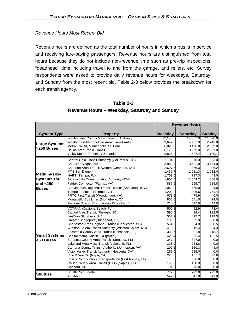#### *Revenue Hours Most Recent Bid*

Revenue hours are defined as the total number of hours in which a bus is in service and receiving fare-paying passengers. Revenue hours are distinguished from total hours because they do not include non-revenue time such as pre-trip inspections, "deadhead" time including travel to and from the garage, and reliefs, etc. Survey respondents were asked to provide daily revenue hours for weekdays, Saturday, and Sunday from the most recent bid. Table 2-3 below provides the breakdown for each transit agency.

|                                                             |                                                                                                                                                                                                                                                                                                                                                                                                                                                                                                                                                                                                                                                                                              | <b>Revenue Hours</b>                                                                                                                       |                                                                                                                                          |                                                                                                                           |
|-------------------------------------------------------------|----------------------------------------------------------------------------------------------------------------------------------------------------------------------------------------------------------------------------------------------------------------------------------------------------------------------------------------------------------------------------------------------------------------------------------------------------------------------------------------------------------------------------------------------------------------------------------------------------------------------------------------------------------------------------------------------|--------------------------------------------------------------------------------------------------------------------------------------------|------------------------------------------------------------------------------------------------------------------------------------------|---------------------------------------------------------------------------------------------------------------------------|
| <b>System Type</b>                                          | <b>Property</b>                                                                                                                                                                                                                                                                                                                                                                                                                                                                                                                                                                                                                                                                              | Weekday                                                                                                                                    | <b>Saturday</b>                                                                                                                          | <b>Sunday</b>                                                                                                             |
| <b>Large Systems</b><br>>250 Buses                          | Los Angeles County Metro Transp. Authority<br>Washington Metropolitan Area Transit Auth<br>Metro Transit, Minneapolis, St. Paul<br>Dallas Area Rapid Transit<br>Valley Metro, Phoenix, AZ (partial)                                                                                                                                                                                                                                                                                                                                                                                                                                                                                          | 22,145.0<br>9,642.0<br>6,026.0<br>6,179.0<br>2,826.4                                                                                       | 14,657.0<br>4,901.0<br>3,428.0<br>3,629.0<br>1,527.4                                                                                     | 11,590.0<br>2,746.0<br>2,309.0<br>2,621.0<br>1,100.1                                                                      |
| Medium-sized<br>Systems > 50<br>and $<$ 250<br><b>Buses</b> | Central Ohio Transit Authority (Columbus, OH)<br>CAT, Las Vegas, NV<br>Charlotte Area Transit System (Charlotte, NC)<br>MTS San Diego<br>HART (Tampa, FL)<br>Jacksonville Transportation Authority (JTA)<br>Fairfax Connector (Fairfax, VA)<br>San Joaquin Regional Transit District (San Joaquin, CA)<br>Tempe In Motion (Tempe, AZ)<br>PRTC/First Transit (Woodbridge, VA)<br>Montebello Bus Lines (Montebello, CA)<br>Regional Transit Commission Ride (Reno)                                                                                                                                                                                                                             | 2,104.0<br>3,962.5<br>2,697.5<br>1,439.7<br>1,709.0<br>1,908.5<br>887.9<br>1,062.0<br>1,202.0<br>673.9<br>800.0<br>714.0                   | 1,078.0<br>3,632.0<br>1,456.3<br>1,021.3<br>717.3<br>1,059.2<br>295.7<br>465.0<br>1,006.5<br>75.9<br>541.0<br>627.0                      | 623.0<br>3,454.0<br>906.2<br>1,012.4<br>443.0<br>688.5<br>219.8<br>324.0<br>771.4<br>0.0<br>429.0<br>443.0                |
| <b>Small Systems</b><br><50 Buses                           | VOTRAN (Daytona Beach, FL)<br>Capital Area Transit (Raliegh, NC)<br>LeeTran (Ft. Myers, FL)<br>Greater Bridgeport (Bridgeport, CT)<br>Charleston Area Regional Transit (Charleston, SC)<br>Winston Salem Transit Authority (Winston Salem, NC)<br>Escambia County Area Transit (Pensacola, FL)<br>Capital Metro, Austin, TX (partial)<br>Sarasota County Area Transit (Sarasota, FL)<br>Lakeland Area Mass Transit (Lakeland, FL)<br>Cambria County Transit Authority (Johnstown, PA)<br>Victor Valley Transit Authority (Hesperia, CA)<br>Vine & VineGo (Napa, CA)<br>Pasco County Public Transportation (Port Richey, FL)<br>Collier County Area Transit (CAT) (Naples, FL)<br>Concord, NC | 500.1<br>590.5<br>553.2<br>105.0<br>564.6<br>410.0<br>332.7<br>423.4<br>347.0<br>328.0<br>209.5<br>256.0<br>228.0<br>16.0<br>168.8<br>91.0 | 452.9<br>414.4<br>425.7<br>55.0<br>504.0<br>219.4<br>301.8<br>305.4<br>347.0<br>254.8<br>110.3<br>215.0<br>137.7<br>0.0<br>168.8<br>73.0 | 73.4<br>112.5<br>113.3<br>30.0<br>260.5<br>4.3<br>18.7<br>182.5<br>0.0<br>0.0<br>44.0<br>0.0<br>29.6<br>0.0<br>0.0<br>0.0 |
| <b>Shuttles</b>                                             | <b>ShuttlePort Florida</b><br>AirBART                                                                                                                                                                                                                                                                                                                                                                                                                                                                                                                                                                                                                                                        | 772.0<br>547.0                                                                                                                             | 772.0<br>547.0                                                                                                                           | 772.0<br>541.0                                                                                                            |

## **Table 2-3 Revenue Hours – Weekday, Saturday and Sunday**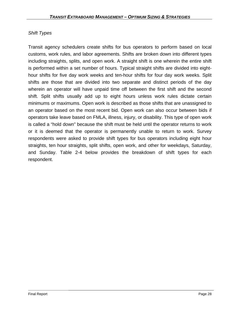## *Shift Types*

Transit agency schedulers create shifts for bus operators to perform based on local customs, work rules, and labor agreements. Shifts are broken down into different types including straights, splits, and open work. A straight shift is one wherein the entire shift is performed within a set number of hours. Typical straight shifts are divided into eighthour shifts for five day work weeks and ten-hour shifts for four day work weeks. Split shifts are those that are divided into two separate and distinct periods of the day wherein an operator will have unpaid time off between the first shift and the second shift. Split shifts usually add up to eight hours unless work rules dictate certain minimums or maximums. Open work is described as those shifts that are unassigned to an operator based on the most recent bid. Open work can also occur between bids if operators take leave based on FMLA, illness, injury, or disability. This type of open work is called a "hold down" because the shift must be held until the operator returns to work or it is deemed that the operator is permanently unable to return to work. Survey respondents were asked to provide shift types for bus operators including eight hour straights, ten hour straights, split shifts, open work, and other for weekdays, Saturday, and Sunday. Table 2-4 below provides the breakdown of shift types for each respondent.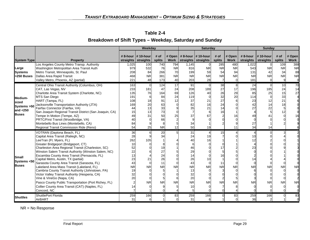| Table 2-4                                               |
|---------------------------------------------------------|
| Breakdown of Shift Types – Weekday, Saturday and Sunday |

|                                                                       |                                                                                                                                                                                                                                                                                                                                                                                                                                                                                                                                                                                                                                                                                              | <b>Weekday</b><br><b>Saturday</b>                                                  |                                                     |                                                                         |                                           |                                                                                                | <b>Sunday</b>                                             |                                                       |                                                       |                                                            |                                          |                                          |                                     |
|-----------------------------------------------------------------------|----------------------------------------------------------------------------------------------------------------------------------------------------------------------------------------------------------------------------------------------------------------------------------------------------------------------------------------------------------------------------------------------------------------------------------------------------------------------------------------------------------------------------------------------------------------------------------------------------------------------------------------------------------------------------------------------|------------------------------------------------------------------------------------|-----------------------------------------------------|-------------------------------------------------------------------------|-------------------------------------------|------------------------------------------------------------------------------------------------|-----------------------------------------------------------|-------------------------------------------------------|-------------------------------------------------------|------------------------------------------------------------|------------------------------------------|------------------------------------------|-------------------------------------|
| <b>System Type</b>                                                    | <b>Property</b>                                                                                                                                                                                                                                                                                                                                                                                                                                                                                                                                                                                                                                                                              |                                                                                    | # 8-hour $\vert$ # 10-hour<br>straights   straights | # of<br>splits                                                          |                                           |                                                                                                | # Open   # 8-hour   # 10-hour<br>Work straights straights | # of<br>splits                                        | # Open<br>Work                                        | # 8-hour<br>straights                                      | $\#$ 10-hour<br>straights                | # of<br>splits                           | # Open<br>Work                      |
| Large<br><b>Systems</b><br>>250 Buses                                 | Los Angeles County Metro Transp. Authority<br>Washington Metropolitan Area Transit Auth<br>Metro Transit, Minneapolis, St. Paul<br>Dallas Area Rapid Transit<br>Valley Metro, Phoenix, AZ (partial)                                                                                                                                                                                                                                                                                                                                                                                                                                                                                          | 1,025<br>979<br>208<br>468<br>221                                                  | 100<br>532<br>84<br><b>NR</b><br>48                 | 740<br>76<br>266<br>381<br>173                                          | 794<br><b>NR</b><br>70<br><b>NR</b><br>40 | 1,145<br>816<br>199<br><b>NR</b><br>203                                                        | <b>NR</b><br>59<br><b>NR</b><br>28                        | 285<br><b>NR</b><br>54<br><b>NR</b><br>$\overline{7}$ | 480<br><b>NR</b><br>94<br><b>NR</b><br>$\overline{0}$ | 1,022<br>543<br>131<br><b>NR</b><br>181                    | <b>NR</b><br>42<br><b>NR</b><br>$\Omega$ | 109<br><b>NR</b><br>34<br><b>NR</b><br>9 | 388<br><b>NR</b><br>88<br><b>NR</b> |
| Medium-<br><b>sized</b><br>Systems >50<br>and $<$ 250<br><b>Buses</b> | Central Ohio Transit Authority (Columbus, OH)<br>CAT, Las Vegas, NV<br>Charlotte Area Transit System (Charlotte, NC)<br>MTS San Diego<br>HART (Tampa, FL)<br>Jacksonville Transportation Authority (JTA)<br>Fairfax Connector (Fairfax, VA)<br>San Joaquin Regional Transit District (San Joaquin, CA)<br>Tempe In Motion (Tempe, AZ)<br>PRTC/First Transit (Woodbridge, VA)<br>Montebello Bus Lines (Montebello, CA)<br>Regional Transit Commission Ride (Reno)                                                                                                                                                                                                                             | 163<br>233<br>135<br>191<br>108<br>169<br>44<br>15<br>49<br>40<br>84<br>54         | 181<br>76<br>18<br>20<br>13<br>13<br>31<br>25       | 124<br>47<br>164<br>84<br>91<br>63<br>33<br>73<br>50<br>66<br><b>NR</b> | 17<br>24<br>69<br>24<br>12<br>25<br>12    | 91<br>208<br>126<br>119<br>37<br>82<br>35<br>37<br>34<br>50                                    | 189<br>40<br>21<br>16<br>21<br>67<br>19                   | 38<br>27<br>26<br>32<br>27<br>24<br>14<br>16          | 8<br>17<br>29<br>20<br>16<br>11                       | 24<br>196<br>85<br>114<br>23<br>42<br>27<br>49<br>27<br>34 | 185<br>25<br>12<br>22<br>14              | 10<br>24<br>15<br>33<br>21<br>18<br>12   | 70<br>14<br>27                      |
| Small<br>Systems <50<br><b>Buses</b>                                  | VOTRAN (Daytona Beach, FL)<br>Capital Area Transit (Raliegh, NC)<br>LeeTran (Ft. Myers, FL)<br>Greater Bridgeport (Bridgeport, CT)<br>Charleston Area Regional Transit (Charleston, SC)<br>Winston Salem Transit Authority (Winston Salem, NC)<br>Escambia County Area Transit (Pensacola, FL)<br>Capital Metro, Austin, TX (partial)<br>Sarasota County Area Transit (Sarasota, FL)<br>Lakeland Area Mass Transit (Lakeland, FL)<br>Cambria County Transit Authority (Johnstown, PA)<br>Victor Valley Transit Authority (Hesperia, CA)<br>Vine & VineGo (Napa, CA)<br>Pasco County Public Transportation (Port Richey, FL)<br>Collier County Area Transit (CAT) (Naples, FL)<br>Concord, NC | 36<br>28<br>262<br>10<br>52<br>22<br>13<br>23<br>43<br><b>NR</b><br>19<br>32<br>20 | 105<br>21<br><b>NR</b>                              | 20<br>34<br>19<br>27<br>24<br>26<br>11<br><b>NR</b><br><b>NR</b>        | <b>NR</b><br>6<br><b>NR</b>               | 31<br>24<br>40<br>46<br>29<br>14<br>26<br>43<br><b>NR</b><br>13<br>32<br>20<br><b>NR</b><br>10 | 19<br>16<br>10<br><b>NR</b><br><b>NR</b>                  | 15<br>17<br>16<br>11<br><b>NR</b><br><b>NR</b>        | <b>NR</b><br><b>NR</b>                                | 10<br>23<br><b>NR</b><br><b>NR</b>                         | <b>NR</b><br><b>NR</b>                   | <b>NR</b><br><b>NR</b>                   | <b>NR</b><br><b>NR</b>              |
| <b>Shuttles</b>                                                       | ShuttlePort Florida<br>AirBART                                                                                                                                                                                                                                                                                                                                                                                                                                                                                                                                                                                                                                                               | 259<br>31                                                                          | 166<br>6                                            |                                                                         | 83<br>$\Omega$                            | 259<br>31                                                                                      | 166<br>6                                                  |                                                       | 83<br>$\Omega$                                        | 259<br>36                                                  | 166<br>$\mathcal{P}$                     |                                          | 83                                  |

NR = No Response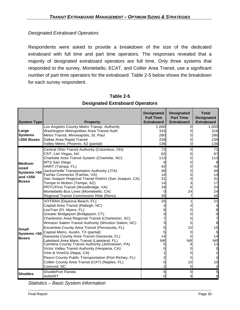## *Designated Extraboard Operators*

Respondents were asked to provide a breakdown of the size of the dedicated extraboard with full time and part time operators. The responses revealed that a majority of designated extraboard operators are full time. Only three systems that responded to the survey, Montebello, ECAT, and Collier Area Transit, use a significant number of part time operators for the extraboard. Table 2-5 below shows the breakdown for each survey respondent.

| <b>System Type</b>                                             | <b>Property</b>                                                                                                                                                                                                                                                                                                                                                                                                                                                                                                                                                                                                                                                                              | <b>Designated</b><br><b>Full Time</b><br><b>Extraboard</b>                      | <b>Designated</b><br><b>Part Time</b><br><b>Extraboard</b>                | <b>Total</b><br><b>Designated</b><br><b>Extraboard</b>           |
|----------------------------------------------------------------|----------------------------------------------------------------------------------------------------------------------------------------------------------------------------------------------------------------------------------------------------------------------------------------------------------------------------------------------------------------------------------------------------------------------------------------------------------------------------------------------------------------------------------------------------------------------------------------------------------------------------------------------------------------------------------------------|---------------------------------------------------------------------------------|---------------------------------------------------------------------------|------------------------------------------------------------------|
| Large<br><b>Systems</b><br>>250 Buses                          | Los Angeles County Metro Transp. Authority<br>Washington Metropolitan Area Transit Auth<br>Metro Transit, Minneapolis, St. Paul<br>Dallas Area Rapid Transit<br>Valley Metro, Phoenix, AZ (partial)                                                                                                                                                                                                                                                                                                                                                                                                                                                                                          | 1,000<br>316<br>280<br>239<br>136                                               | 0<br>0<br>0                                                               | 1,000<br>316<br>280<br>239<br>136                                |
| Medium-<br>sized<br>Systems >50<br>and $<$ 250<br><b>Buses</b> | Central Ohio Transit Authority (Columbus, OH)<br>CAT, Las Vegas, NV<br>Charlotte Area Transit System (Charlotte, NC)<br>MTS San Diego<br>HART (Tampa, FL)<br>Jacksonville Transportation Authority (JTA)<br>Fairfax Connector (Fairfax, VA)<br>San Joaquin Regional Transit District (San Joaquin, CA)<br>Tempe In Motion (Tempe, AZ)<br>PRTC/First Transit (Woodbridge, VA)<br>Montebello Bus Lines (Montebello, CA)<br>Regional Transit Commission Ride (Reno)                                                                                                                                                                                                                             | 72<br>82<br>113<br>9<br>42<br>46<br>14<br>31<br>14<br>18<br>$\Omega$<br>39      | $\mathsf{O}$<br>5<br>0<br>0<br>0<br>0<br>0<br>3<br>6<br>24<br>7           | 72<br>87<br>113<br>42<br>46<br>14<br>31<br>17<br>24<br>24<br>46  |
| <b>Small</b><br>Systems <50<br><b>Buses</b>                    | VOTRAN (Daytona Beach, FL)<br>Capital Area Transit (Raliegh, NC)<br>LeeTran (Ft. Myers, FL)<br>Greater Bridgeport (Bridgeport, CT)<br>Charleston Area Regional Transit (Charleston, SC)<br>Winston Salem Transit Authority (Winston Salem, NC)<br>Escambia County Area Transit (Pensacola, FL)<br>Capital Metro, Austin, TX (partial)<br>Sarasota County Area Transit (Sarasota, FL)<br>Lakeland Area Mass Transit (Lakeland, FL)<br>Cambria County Transit Authority (Johnstown, PA)<br>Victor Valley Transit Authority (Hesperia, CA)<br>Vine & VineGo (Napa, CA)<br>Pasco County Public Transportation (Port Richey, FL)<br>Collier County Area Transit (CAT) (Naples, FL)<br>Concord, NC | 20<br>4<br>8<br>0<br>5<br>5<br>14<br><b>NR</b><br>5<br>0<br>0<br>$\overline{2}$ | 1<br>0<br>0<br>0<br>5<br>10<br>0<br><b>NR</b><br>8<br>0<br>10<br>$\Omega$ | 21<br>8<br>0<br>7<br>8<br>15<br>5<br>14<br><b>NR</b><br>13<br>10 |
| <b>Shuttles</b>                                                | ShuttlePort Florida<br>AirBART                                                                                                                                                                                                                                                                                                                                                                                                                                                                                                                                                                                                                                                               | 5<br>$\Omega$                                                                   | 0<br>9                                                                    | 5<br>9                                                           |

**Table 2-5 Designated Extraboard Operators** 

*Statistics – Basic System Information*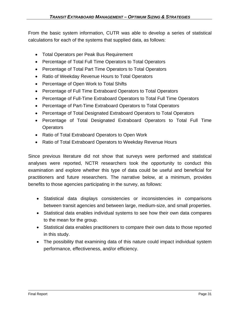From the basic system information, CUTR was able to develop a series of statistical calculations for each of the systems that supplied data, as follows:

- Total Operators per Peak Bus Requirement
- Percentage of Total Full Time Operators to Total Operators
- Percentage of Total Part Time Operators to Total Operators
- Ratio of Weekday Revenue Hours to Total Operators
- Percentage of Open Work to Total Shifts
- Percentage of Full Time Extraboard Operators to Total Operators
- Percentage of Full-Time Extraboard Operators to Total Full Time Operators
- Percentage of Part-Time Extraboard Operators to Total Operators
- Percentage of Total Designated Extraboard Operators to Total Operators
- Percentage of Total Designated Extraboard Operators to Total Full Time **Operators**
- Ratio of Total Extraboard Operators to Open Work
- Ratio of Total Extraboard Operators to Weekday Revenue Hours

Since previous literature did not show that surveys were performed and statistical analyses were reported, NCTR researchers took the opportunity to conduct this examination and explore whether this type of data could be useful and beneficial for practitioners and future researchers. The narrative below, at a minimum, provides benefits to those agencies participating in the survey, as follows:

- Statistical data displays consistencies or inconsistencies in comparisons between transit agencies and between large, medium-size, and small properties.
- Statistical data enables individual systems to see how their own data compares to the mean for the group.
- Statistical data enables practitioners to compare their own data to those reported in this study.
- The possibility that examining data of this nature could impact individual system performance, effectiveness, and/or efficiency.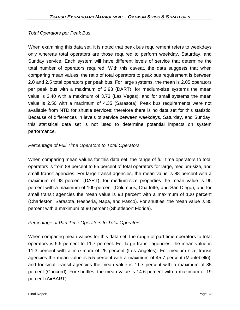## *Total Operators per Peak Bus*

When examining this data set, it is noted that peak bus requirement refers to weekdays only whereas total operators are those required to perform weekday, Saturday, and Sunday service. Each system will have different levels of service that determine the total number of operators required. With this caveat, the data suggests that when comparing mean values, the ratio of total operators to peak bus requirement is between 2.0 and 2.5 total operators per peak bus. For large systems, the mean is 2.05 operators per peak bus with a maximum of 2.93 (DART); for medium-size systems the mean value is 2.40 with a maximum of 3.73 (Las Vegas); and for small systems the mean value is 2.50 with a maximum of 4.35 (Sarasota). Peak bus requirements were not available from NTD for shuttle services; therefore there is no data set for this statistic. Because of differences in levels of service between weekdays, Saturday, and Sunday, this statistical data set is not used to determine potential impacts on system performance.

## *Percentage of Full Time Operators to Total Operators*

When comparing mean values for this data set, the range of full time operators to total operators is from 88 percent to 95 percent of total operators for large, medium-size, and small transit agencies. For large transit agencies, the mean value is 88 percent with a maximum of 98 percent (DART); for medium-size properties the mean value is 95 percent with a maximum of 100 percent (Columbus, Charlotte, and San Diego); and for small transit agencies the mean value is 90 percent with a maximum of 100 percent (Charleston, Sarasota, Hesperia, Napa, and Pasco). For shuttles, the mean value is 85 percent with a maximum of 90 percent (Shuttleport Florida).

## *Percentage of Part Time Operators to Total Operators*

When comparing mean values for this data set, the range of part time operators to total operators is 5.5 percent to 11.7 percent. For large transit agencies, the mean value is 11.3 percent with a maximum of 25 percent (Los Angeles). For medium size transit agencies the mean value is 5.5 percent with a maximum of 45.7 percent (Montebello), and for small transit agencies the mean value is 11.7 percent with a maximum of 35 percent (Concord). For shuttles, the mean value is 14.6 percent with a maximum of 19 percent (AirBART).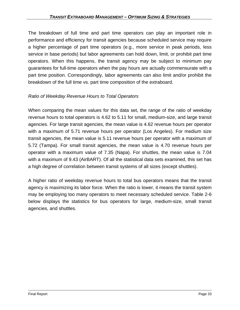The breakdown of full time and part time operators can play an important role in performance and efficiency for transit agencies because scheduled service may require a higher percentage of part time operators (e.g., more service in peak periods, less service in base periods) but labor agreements can hold down, limit, or prohibit part time operators. When this happens, the transit agency may be subject to minimum pay guarantees for full-time operators when the pay hours are actually commensurate with a part time position. Correspondingly, labor agreements can also limit and/or prohibit the breakdown of the full time vs. part time composition of the extraboard.

## *Ratio of Weekday Revenue Hours to Total Operators*

When comparing the mean values for this data set, the range of the ratio of weekday revenue hours to total operators is 4.62 to 5.11 for small, medium-size, and large transit agencies. For large transit agencies, the mean value is 4.62 revenue hours per operator with a maximum of 5.71 revenue hours per operator (Los Angeles). For medium size transit agencies, the mean value is 5.11 revenue hours per operator with a maximum of 5.72 (Tampa). For small transit agencies, the mean value is 4.70 revenue hours per operator with a maximum value of 7.35 (Napa). For shuttles, the mean value is 7.04 with a maximum of 9.43 (AirBART). Of all the statistical data sets examined, this set has a high degree of correlation between transit systems of all sizes (except shuttles).

A higher ratio of weekday revenue hours to total bus operators means that the transit agency is maximizing its labor force. When the ratio is lower, it means the transit system may be employing too many operators to meet necessary scheduled service. Table 2-6 below displays the statistics for bus operators for large, medium-size, small transit agencies, and shuttles.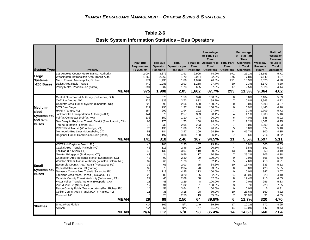| <b>System Type</b><br>Large<br><b>Systems</b><br>>250 Buses           | <b>Property</b><br>Los Angeles County Metro Transp. Authority<br>Washington Metropolitan Area Transit Auth<br>Metro Transit, Minneapolis, St. Paul<br>Dallas Area Rapid Transit<br>Valley Metro, Phoenix, AZ (partial)<br><b>MEAN</b>                                                                                                                                                                                                                                                                                                                                                                                                                                                                       | <b>Peak Bus</b><br>Requirement<br>FY 2003-04<br>2,004<br>1,262<br>774<br>440<br>394<br>975   | <b>Total Bus</b><br>Operator<br><b>Positions</b><br>3,876<br>2,260<br>1,436<br>1,288<br>682<br>1,908   | <b>Total</b><br>Operators per<br><b>Peak Bus</b><br>1.93<br>1.79<br>1.86<br>2.93<br>1.73<br>2.05                                     | <b>Time</b><br><b>Positions</b><br>2,905<br>2.084<br>1,096<br>1,258<br>665<br>1,602                    | Percentage<br>of Total Full<br><b>Time</b><br>Total Full Operators to Total Part<br><b>Total</b><br><b>Operators</b><br>74.9%<br>92.2%<br>76.3%<br>97.7%<br>97.5%<br>87.7% | <b>Time</b><br><b>Operators</b><br>971<br>176<br>271<br>30<br>17<br>293 | Percentage<br>of Total Part<br><b>Time</b><br><b>Operators</b><br>to Total<br><b>Operators</b><br>25.1%<br>7.8%<br>18.9%<br>2.3%<br>2.5%<br>11.3% | Weekday<br>Revenue<br><b>Hours</b><br>22,145<br>9.642<br>6.026<br>6,179<br>2,826<br>9,364                         | Ratio of<br>Weekday<br>Revenue<br><b>Hours to</b><br>Total<br><b>Operators</b><br>5.71<br>4.27<br>4.20<br>4.80<br>4.14<br>4.62       |
|-----------------------------------------------------------------------|-------------------------------------------------------------------------------------------------------------------------------------------------------------------------------------------------------------------------------------------------------------------------------------------------------------------------------------------------------------------------------------------------------------------------------------------------------------------------------------------------------------------------------------------------------------------------------------------------------------------------------------------------------------------------------------------------------------|----------------------------------------------------------------------------------------------|--------------------------------------------------------------------------------------------------------|--------------------------------------------------------------------------------------------------------------------------------------|--------------------------------------------------------------------------------------------------------|----------------------------------------------------------------------------------------------------------------------------------------------------------------------------|-------------------------------------------------------------------------|---------------------------------------------------------------------------------------------------------------------------------------------------|-------------------------------------------------------------------------------------------------------------------|--------------------------------------------------------------------------------------------------------------------------------------|
| Medium-<br><b>sized</b><br>Systems >50<br>and $<$ 250<br><b>Buses</b> | Central Ohio Transit Authority (Columbus, OH)<br>CAT, Las Vegas, NV<br>Charlotte Area Transit System (Charlotte, NC)<br><b>MTS San Diego</b><br>HART (Tampa, FL)<br>Jacksonville Transportation Authority (JTA)<br>Fairfax Connector (Fairfax, VA)<br>San Joaquin Regional Transit District (San Joaquin, CA)<br>Tempe In Motion (Tempe, AZ)<br>PRTC/First Transit (Woodbridge, VA)<br>Montebello Bus Lines (Montebello, CA)<br>Regional Transit Commission Ride (Reno)<br><b>MEAN</b>                                                                                                                                                                                                                      | 247<br>225<br>222<br>212<br>154<br>144<br>136<br>98<br>78<br>70<br>53<br>51<br>141           | 370<br>839<br>590<br>290<br>299<br>370<br>150<br>170<br>230<br>130<br>184<br>197<br>318                | 1.50<br>3.73<br>2.66<br>1.37<br>1.94<br>2.57<br>1.10<br>1.73<br>2.95<br>1.86<br>3.47<br>3.86<br>2.40                                 | 370<br>832<br>590<br>290<br>292<br>363<br>144<br>168<br>223<br>125<br>100<br>190<br>307                | 100.0%<br>99.2%<br>100.0%<br>100.0%<br>97.7%<br>98.1%<br>96.0%<br>98.8%<br>97.0%<br>96.2%<br>54.3%<br>96.4%<br>94.5%                                                       | 84<br>11                                                                | 0.0%<br>0.8%<br>0.0%<br>0.0%<br>2.3%<br>1.1%<br>4.0%<br>1.2%<br>3.0%<br>3.8%<br>45.7%<br>3.6%<br>5.5%                                             | 2,104<br>3,963<br>2,698<br>1,440<br>1,709<br>1,908<br>888<br>1.062<br>1,202<br>674<br>800<br>714<br>1,597         | 5.69<br>4.72<br>4.57<br>4.96<br>5.72<br>5.16<br>5.92<br>6.25<br>5.23<br>5.18<br>4.35<br>3.62<br>5.11                                 |
| <b>Small</b><br>Systems <50<br><b>Buses</b>                           | VOTRAN (Daytona Beach, FL)<br>Capital Area Transit (Raliegh, NC)<br>LeeTran (Ft. Myers, FL)<br>Greater Bridgeport (Bridgeport, CT)<br>Charleston Area Regional Transit (Charleston, SC)<br>Winston Salem Transit Authority (Winston Salem, NC)<br>Escambia County Area Transit (Pensacola, FL)<br>Capital Metro, Austin, TX (partial)<br>Sarasota County Area Transit (Sarasota, FL)<br>Lakeland Area Mass Transit (Lakeland, FL)<br>Cambria County Transit Authority (Johnstown, PA)<br>Victor Valley Transit Authority (Hesperia, CA)<br>Vine & VineGo (Napa, CA)<br>Pasco County Public Transportation (Port Richey, FL)<br>Collier County Area Transit (CAT) (Naples, FL)<br>Concord, NC<br><b>MEAN</b> | 46<br>46<br>43<br>43<br>43<br>37<br>32<br>32<br>26<br>25<br>22<br>21<br>17<br>14<br>11<br>29 | 108<br>113<br>132<br>24<br>99<br>66<br>65<br>75<br>113<br>80<br>46<br>48<br>31<br>51<br>35<br>20<br>69 | 2.35<br>2.46<br>3.07<br>0.56<br>2.30<br>1.78<br>2.03<br>2.34<br>4.35<br>3.20<br>2.09<br>2.29<br>1.82<br>3.64<br>3.18<br>2.50<br>2.50 | 107<br>109<br>119<br>17<br>99<br>61<br>55<br>70<br>113<br>66<br>38<br>48<br>31<br>51<br>28<br>13<br>64 | 99.1%<br>96.5%<br>90.2%<br>70.8%<br>100.0%<br>92.4%<br>84.6%<br>93.3%<br>100.0%<br>82.5%<br>82.6%<br>100.0%<br>100.0%<br>100.0%<br>80.0%<br>65.0%<br>89.8%                 | 13<br>10<br>24<br>10<br>6                                               | 0.9%<br>3.5%<br>9.8%<br>29.2%<br>0.0%<br>7.6%<br>15.4%<br>0.0%<br>0.0%<br>30.0%<br>17.4%<br>0.0%<br>9.7%<br>0.0%<br>28.6%<br>35.0%<br>11.7%       | 500<br>591<br>553<br>105<br>565<br>410<br>333<br>423<br>347<br>328<br>210<br>256<br>228<br>16<br>169<br>91<br>320 | 4.63<br>5.23<br>4.19<br>4.38<br>5.70<br>6.21<br>5.12<br>5.65<br>3.07<br>4.10<br>4.55<br>5.33<br>7.35<br>0.31<br>4.82<br>4.55<br>4.70 |
| <b>Shuttles</b>                                                       | ShuttlePort Florida<br>AirBART<br><b>MEAN</b>                                                                                                                                                                                                                                                                                                                                                                                                                                                                                                                                                                                                                                                               | N/A<br>N/A<br>N/A                                                                            | 166<br>58<br>112                                                                                       | N/A<br>N/A<br>N/A                                                                                                                    | 149<br>47<br>98                                                                                        | 89.8%<br>81.0%<br>85.4%                                                                                                                                                    | 17<br>11<br>14                                                          | 10.2%<br>19.0%<br>14.6%                                                                                                                           | 772<br>547<br>660                                                                                                 | 4.65<br>9.43<br>7.04                                                                                                                 |

**Table 2-6 Basic System Information Statistics – Bus Operators**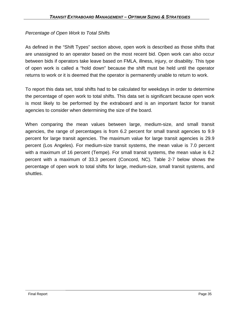## *Percentage of Open Work to Total Shifts*

As defined in the "Shift Types" section above, open work is described as those shifts that are unassigned to an operator based on the most recent bid. Open work can also occur between bids if operators take leave based on FMLA, illness, injury, or disability. This type of open work is called a "hold down" because the shift must be held until the operator returns to work or it is deemed that the operator is permanently unable to return to work.

To report this data set, total shifts had to be calculated for weekdays in order to determine the percentage of open work to total shifts. This data set is significant because open work is most likely to be performed by the extraboard and is an important factor for transit agencies to consider when determining the size of the board.

When comparing the mean values between large, medium-size, and small transit agencies, the range of percentages is from 6.2 percent for small transit agencies to 9.9 percent for large transit agencies. The maximum value for large transit agencies is 29.9 percent (Los Angeles). For medium-size transit systems, the mean value is 7.0 percent with a maximum of 16 percent (Tempe). For small transit systems, the mean value is 6.2 percent with a maximum of 33.3 percent (Concord, NC). Table 2-7 below shows the percentage of open work to total shifts for large, medium-size, small transit systems, and shuttles.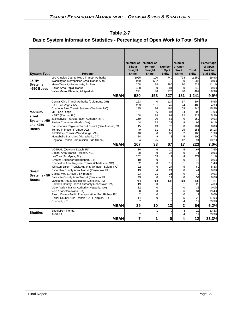## **Basic System Information Statistics - Percentage of Open Work to Total Shifts**

| <b>System Type</b>                                              | Property                                                                                                                                                                                                                                                                                                                                                                                                                                                                                                                                                                                                                                                                                                    | <b>Number of</b><br>8-hour<br><b>Straight</b><br><b>Shifts</b>                          | Number of<br>10-hour<br><b>Straight</b><br><b>Shifts</b>                                    | <b>Number</b><br>of Split<br><b>Shifts</b>                                              | <b>Number</b><br>of Open<br><b>Work</b><br><b>Shifts</b>                                         | <b>Total</b><br><b>Shifts</b>                                                                             | Percentage<br>of Open<br>Work to<br><b>Total Shifts</b>                                                                                      |
|-----------------------------------------------------------------|-------------------------------------------------------------------------------------------------------------------------------------------------------------------------------------------------------------------------------------------------------------------------------------------------------------------------------------------------------------------------------------------------------------------------------------------------------------------------------------------------------------------------------------------------------------------------------------------------------------------------------------------------------------------------------------------------------------|-----------------------------------------------------------------------------------------|---------------------------------------------------------------------------------------------|-----------------------------------------------------------------------------------------|--------------------------------------------------------------------------------------------------|-----------------------------------------------------------------------------------------------------------|----------------------------------------------------------------------------------------------------------------------------------------------|
| Large<br><b>Systems</b><br>>250 Buses                           | Los Angeles County Metro Transp. Authority<br>Washington Metropolitan Area Transit Auth<br>Metro Transit, Minneapolis, St. Paul<br>Dallas Area Rapid Transit<br>Valley Metro, Phoenix, AZ (partial)<br><b>MEAN</b>                                                                                                                                                                                                                                                                                                                                                                                                                                                                                          | 1025<br>979<br>208<br>468<br>221<br>580                                                 | 100<br>532<br>84<br>48<br>153                                                               | 740<br>76<br>266<br>381<br>173<br>327                                                   | 794<br>$\Omega$<br>70<br>$\Omega$<br>40<br>181                                                   | 2,659<br>1,587<br>628<br>849<br>482<br>1,241                                                              | 29.9%<br>0.0%<br>11.1%<br>0.0%<br>8.3%<br>9.9%                                                                                               |
| Medium-<br>sized<br>Systems > 50<br>and $<$ 250<br><b>Buses</b> | Central Ohio Transit Authority (Columbus, OH)<br>CAT, Las Vegas, NV<br>Charlotte Area Transit System (Charlotte, NC)<br>MTS San Diego<br>HART (Tampa, FL)<br>Jacksonville Transportation Authority (JTA)<br>Fairfax Connector (Fairfax, VA)<br>San Joaquin Regional Transit District (San Joaquin, CA)<br>Tempe In Motion (Tempe, AZ)<br>PRTC/First Transit (Woodbridge, VA)<br>Montebello Bus Lines (Montebello, CA)<br>Regional Transit Commission Ride (Reno)<br><b>MEAN</b>                                                                                                                                                                                                                             | 163<br>233<br>135<br>191<br>108<br>169<br>44<br>15<br>49<br>40<br>84<br>54<br>107       | $\overline{0}$<br>181<br>76<br>6<br>18<br>20<br>13<br>13<br>31<br>$\Omega$<br>9<br>25<br>33 | 124<br>47<br>164<br>84<br>91<br>63<br>33<br>73<br>50<br>66<br>8<br>$\overline{0}$<br>67 | 17<br>24<br>69<br>24<br>12<br>$\Omega$<br>9<br>$\Omega$<br>25<br>$\overline{c}$<br>5<br>12<br>17 | 304<br>485<br>444<br>305<br>229<br>252<br>99<br>101<br>155<br>108<br>106<br>91<br>223                     | 5.6%<br>4.9%<br>15.5%<br>7.9%<br>5.2%<br>0.0%<br>9.1%<br>0.0%<br>16.1%<br>1.9%<br>4.7%<br>13.2%<br>7.0%                                      |
| <b>Small</b><br>Systems <50<br><b>Buses</b>                     | VOTRAN (Daytona Beach, FL)<br>Capital Area Transit (Raliegh, NC)<br>LeeTran (Ft. Myers, FL)<br>Greater Bridgeport (Bridgeport, CT)<br>Charleston Area Regional Transit (Charleston, SC)<br>Winston Salem Transit Authority (Winston Salem, NC)<br>Escambia County Area Transit (Pensacola, FL)<br>Capital Metro, Austin, TX (partial)<br>Sarasota County Area Transit (Sarasota, FL)<br>Lakeland Area Mass Transit (Lakeland, FL)<br>Cambria County Transit Authority (Johnstown, PA)<br>Victor Valley Transit Authority (Hesperia, CA)<br>Vine & VineGo (Napa, CA)<br>Pasco County Public Transportation (Port Richey, FL)<br>Collier County Area Transit (CAT) (Naples, FL)<br>Concord, NC<br><b>MEAN</b> | 36<br>28<br>262<br>10<br>52<br>22<br>13<br>23<br>43<br>NR<br>19<br>32<br>20<br>14<br>39 | 6<br>9<br>105<br>$\Omega$<br>6<br>21<br>$\Omega$<br><b>NR</b><br>$\Omega$<br>10             | 20<br>34<br>8<br>19<br>27<br>24<br>26<br>11<br>NR<br>5<br>0<br>9<br>$\Omega$<br>13      | 5<br>$\Omega$<br>5<br>$\Omega$<br>0<br>$\Omega$<br><b>NR</b><br>6<br>2                           | 67<br>71<br>372<br>18<br>72<br>60<br>41<br>70<br>54<br><b>NR</b><br>25<br>32<br>31<br>2<br>28<br>12<br>64 | 7.5%<br>0.0%<br>1.1%<br>0.0%<br>1.4%<br>8.3%<br>0.0%<br>0.0%<br>0.0%<br><b>NR</b><br>4.0%<br>0.0%<br>19.4%<br>0.0%<br>17.9%<br>33.3%<br>6.2% |
| <b>Shuttles</b>                                                 | <b>ShuttlePort Florida</b><br>AirBART<br><b>MEAN</b>                                                                                                                                                                                                                                                                                                                                                                                                                                                                                                                                                                                                                                                        |                                                                                         | 1                                                                                           | $\overline{0}$<br>$\Omega$<br>0                                                         |                                                                                                  | 12<br>12<br>12                                                                                            | 33.3%<br>33.3%<br>33.3%                                                                                                                      |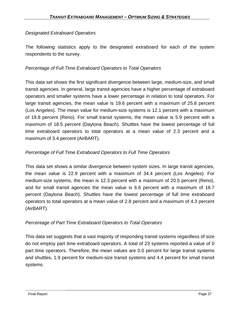## *Designated Extraboard Operators*

The following statistics apply to the designated extraboard for each of the system respondents to the survey.

## *Percentage of Full Time Extraboard Operators to Total Operators*

This data set shows the first significant divergence between large, medium-size, and small transit agencies. In general, large transit agencies have a higher percentage of extraboard operators and smaller systems have a lower percentage in relation to total operators. For large transit agencies, the mean value is 19.6 percent with a maximum of 25.8 percent (Los Angeles). The mean value for medium-size systems is 12.1 percent with a maximum of 19.8 percent (Reno). For small transit systems, the mean value is 5.9 percent with a maximum of 18.5 percent (Daytona Beach). Shuttles have the lowest percentage of full time extraboard operators to total operators at a mean value of 2.3 percent and a maximum of 3.4 percent (AirBART).

## *Percentage of Full Time Extraboard Operators to Full Time Operators*

This data set shows a similar divergence between system sizes. In large transit agencies, the mean value is 22.9 percent with a maximum of 34.4 percent (Los Angeles). For medium-size systems, the mean is 12.3 percent with a maximum of 20.5 percent (Reno), and for small transit agencies the mean value is 6.6 percent with a maximum of 18.7 percent (Daytona Beach). Shuttles have the lowest percentage of full time extraboard operators to total operators at a mean value of 2.8 percent and a maximum of 4.3 percent (AirBART).

### *Percentage of Part Time Extraboard Operators to Total Operators*

This data set suggests that a vast majority of responding transit systems regardless of size do not employ part time extraboard operators. A total of 23 systems reported a value of 0 part time operators. Therefore, the mean values are 0.0 percent for large transit systems and shuttles, 1.9 percent for medium-size transit systems and 4.4 percent for small transit systems.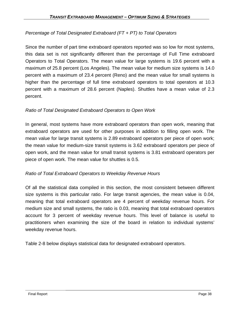## *Percentage of Total Designated Extraboard (FT + PT) to Total Operators*

Since the number of part time extraboard operators reported was so low for most systems, this data set is not significantly different than the percentage of Full Time extraboard Operators to Total Operators. The mean value for large systems is 19.6 percent with a maximum of 25.8 percent (Los Angeles). The mean value for medium size systems is 14.0 percent with a maximum of 23.4 percent (Reno) and the mean value for small systems is higher than the percentage of full time extraboard operators to total operators at 10.3 percent with a maximum of 28.6 percent (Naples). Shuttles have a mean value of 2.3 percent.

### *Ratio of Total Designated Extraboard Operators to Open Work*

In general, most systems have more extraboard operators than open work, meaning that extraboard operators are used for other purposes in addition to filling open work. The mean value for large transit systems is 2.89 extraboard operators per piece of open work; the mean value for medium-size transit systems is 3.62 extraboard operators per piece of open work, and the mean value for small transit systems is 3.81 extraboard operators per piece of open work. The mean value for shuttles is 0.5.

### *Ratio of Total Extraboard Operators to Weekday Revenue Hours*

Of all the statistical data compiled in this section, the most consistent between different size systems is this particular ratio. For large transit agencies, the mean value is 0.04, meaning that total extraboard operators are 4 percent of weekday revenue hours. For medium size and small systems, the ratio is 0.03, meaning that total extraboard operators account for 3 percent of weekday revenue hours. This level of balance is useful to practitioners when examining the size of the board in relation to individual systems' weekday revenue hours.

Table 2-8 below displays statistical data for designated extraboard operators.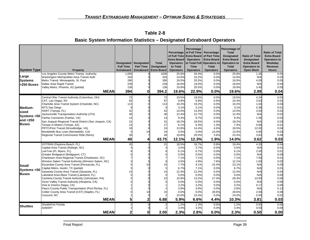| <b>System Type</b> | Property                                                                   | Designated<br><b>Full Time</b><br><b>Extraboard</b> | <b>Designated</b><br><b>Part Time</b><br><b>Extraboard</b> | <b>Total</b><br><b>Designated</b><br><b>Extra Board</b> | <b>Extra Board</b><br><b>Operators</b><br>to Total<br><b>Operators</b> | Percentage<br>Percentage of Full Time Percentage<br><b>Operators</b><br><b>Time</b><br><b>Operators</b> | of Full Time Extra Board of Part Time<br><b>Extra Board</b><br>to Total Full Operators to<br>Total<br><b>Operators</b> | Percentage of<br><b>Total</b><br><b>Designated</b><br><b>Extra Board</b><br><b>Operators to</b><br><b>Total</b><br><b>Operators</b> | <b>Ratio of Total</b><br><b>Designated</b><br><b>Extra Board</b><br><b>Operators to</b><br><b>Open Work</b> | <b>Ratio of Total</b><br><b>Extra Board</b><br>Operators to<br>Weekday<br>Revenue<br><b>Hours</b> |
|--------------------|----------------------------------------------------------------------------|-----------------------------------------------------|------------------------------------------------------------|---------------------------------------------------------|------------------------------------------------------------------------|---------------------------------------------------------------------------------------------------------|------------------------------------------------------------------------------------------------------------------------|-------------------------------------------------------------------------------------------------------------------------------------|-------------------------------------------------------------------------------------------------------------|---------------------------------------------------------------------------------------------------|
|                    | Los Angeles County Metro Transp. Authority                                 | 1,000                                               |                                                            | 1000                                                    | 25.8%                                                                  | 34.4%                                                                                                   | 0.0%                                                                                                                   | 25.8%                                                                                                                               | 1.26                                                                                                        | 0.05                                                                                              |
| Large              | Washington Metropolitan Area Transit Auth                                  | 316                                                 |                                                            | 316                                                     | 14.0%                                                                  | 15.2%                                                                                                   | 0.0%                                                                                                                   | 14.0%                                                                                                                               | N/A                                                                                                         | 0.03                                                                                              |
| <b>Systems</b>     | Metro Transit, Minneapolis, St. Paul                                       | 280                                                 |                                                            | 280                                                     | 19.5%                                                                  | 25.5%                                                                                                   | 0.0%                                                                                                                   | 19.5%                                                                                                                               | 4.00                                                                                                        | 0.05                                                                                              |
| >250 Buses         | Dallas Area Rapid Transit                                                  | 239                                                 |                                                            | 239                                                     | 18.6%                                                                  | 19.0%                                                                                                   | 0.0%                                                                                                                   | 18.6%                                                                                                                               | N/A                                                                                                         | 0.04                                                                                              |
|                    | Valley Metro, Phoenix, AZ (partial)                                        | 136                                                 |                                                            | 136                                                     | 19.9%                                                                  | 20.5%                                                                                                   | 0.0%                                                                                                                   | 19.9%                                                                                                                               | 3.40                                                                                                        | 0.05                                                                                              |
|                    | <b>MEAN</b>                                                                | 394                                                 | 0                                                          | 394.2                                                   | 19.6%                                                                  | 22.9%                                                                                                   | 0.0%                                                                                                                   | 19.6%                                                                                                                               | 2.89                                                                                                        | 0.04                                                                                              |
|                    | Central Ohio Transit Authority (Columbus, OH)                              | 72                                                  |                                                            | 72                                                      | 19.5%                                                                  | 19.5%                                                                                                   | 0.0%                                                                                                                   | 19.5%                                                                                                                               | 4.24                                                                                                        | 0.03                                                                                              |
|                    | CAT, Las Vegas, NV                                                         | 82                                                  |                                                            | 87                                                      | 9.8%                                                                   | 9.9%                                                                                                    | 0.6%                                                                                                                   | 10.4%                                                                                                                               | 3.63                                                                                                        | 0.02                                                                                              |
|                    | Charlotte Area Transit System (Charlotte, NC)<br>MTS San Diego             | 113<br>9                                            |                                                            | 113                                                     | 19.2%<br>3.1%                                                          | 19.2%<br>3.1%                                                                                           | 0.0%<br>0.0%                                                                                                           | 19.2%<br>3.1%                                                                                                                       | 1.64<br>0.38                                                                                                | 0.04<br>0.01                                                                                      |
| Medium-            | HART (Tampa, FL)                                                           | 42                                                  |                                                            | 42                                                      | 14.0%                                                                  | 14.4%                                                                                                   | 0.0%                                                                                                                   | 14.0%                                                                                                                               | 3.50                                                                                                        | 0.02                                                                                              |
| sized              | Jacksonville Transportation Authority (JTA)                                | 46                                                  |                                                            | 46                                                      | 12.4%                                                                  | 12.7%                                                                                                   | 0.0%                                                                                                                   | 12.4%                                                                                                                               | N/A                                                                                                         | 0.02                                                                                              |
| Systems >50        | Fairfax Connector (Fairfax, VA)                                            | 14                                                  |                                                            | 14                                                      | 9.3%                                                                   | 9.7%                                                                                                    | 0.0%                                                                                                                   | 9.3%                                                                                                                                | 1.56                                                                                                        | 0.02                                                                                              |
| and $<$ 250        | San Joaquin Regional Transit District (San Joaquin, CA)                    | 31                                                  |                                                            | 31                                                      | 18.2%                                                                  | 18.5%                                                                                                   | 0.0%                                                                                                                   | 18.2%                                                                                                                               | N/A                                                                                                         | 0.03                                                                                              |
| <b>Buses</b>       | Tempe In Motion (Tempe, AZ)                                                | 14                                                  |                                                            | 17                                                      | 6.1%                                                                   | 6.3%                                                                                                    | 1.3%                                                                                                                   | 7.4%                                                                                                                                | 0.68                                                                                                        | 0.01                                                                                              |
|                    | PRTC/First Transit (Woodbridge, VA)                                        | 18                                                  |                                                            | 24                                                      | 13.8%                                                                  | 14.4%                                                                                                   | 4.6%                                                                                                                   | 18.5%                                                                                                                               | 12.00                                                                                                       | 0.04                                                                                              |
|                    | Montebello Bus Lines (Montebello, CA)                                      | $\overline{0}$                                      | 24                                                         | 24                                                      | 0.0%                                                                   | 0.0%                                                                                                    | 13.0%                                                                                                                  | 13.0%                                                                                                                               | 4.80                                                                                                        | 0.03                                                                                              |
|                    | Regional Transit Commission Ride (Reno)                                    | 39                                                  |                                                            | 46                                                      | 19.8%                                                                  | 20.5%                                                                                                   | 3.6%                                                                                                                   | 23.4%                                                                                                                               | 3.83                                                                                                        | 0.06                                                                                              |
|                    | <b>MEAN</b>                                                                | 40                                                  |                                                            | 43.75                                                   | 12.1%                                                                  | 12.3%                                                                                                   | 1.9%                                                                                                                   | 14.0%                                                                                                                               | 3.62                                                                                                        | 0.03                                                                                              |
|                    | VOTRAN (Daytona Beach, FL)                                                 | 20                                                  |                                                            | 21                                                      | 18.5%                                                                  | 18.7%                                                                                                   | 0.9%                                                                                                                   | 19.4%                                                                                                                               | 4.20                                                                                                        | 0.04                                                                                              |
|                    | Capital Area Transit (Raliegh, NC)                                         |                                                     |                                                            |                                                         | 3.5%                                                                   | 3.7%                                                                                                    | 0.0%                                                                                                                   | 3.5%                                                                                                                                | N/A                                                                                                         | 0.01                                                                                              |
|                    | LeeTran (Ft. Myers, FL)<br>Greater Bridgeport (Bridgeport, CT)             |                                                     |                                                            |                                                         | 6.1%<br>0.0%                                                           | 6.7%<br>0.0%                                                                                            | 0.0%<br>0.0%                                                                                                           | 6.1%<br>0.0%                                                                                                                        | 2.00<br>N/A                                                                                                 | 0.01<br>0.00                                                                                      |
|                    | Charleston Area Regional Transit (Charleston, SC)                          |                                                     |                                                            |                                                         | 7.1%                                                                   | 7.1%                                                                                                    | 0.0%                                                                                                                   | 7.1%                                                                                                                                | 7.00                                                                                                        | 0.01                                                                                              |
|                    | Winston Salem Transit Authority (Winston Salem, NC)                        |                                                     |                                                            |                                                         | 4.5%                                                                   | 4.9%                                                                                                    | 7.6%                                                                                                                   | 12.1%                                                                                                                               | 1.60                                                                                                        | 0.02                                                                                              |
| Small              | Escambia County Area Transit (Pensacola, FL)                               |                                                     |                                                            | 15                                                      | 7.7%                                                                   | 9.1%                                                                                                    | 15.4%                                                                                                                  | 23.1%                                                                                                                               | N/A                                                                                                         | 0.05                                                                                              |
|                    | Capital Metro, Austin, TX (partial)                                        |                                                     |                                                            |                                                         | 6.7%                                                                   | 7.1%                                                                                                    | 0.0%                                                                                                                   | 6.7%                                                                                                                                | N/A                                                                                                         | 0.01                                                                                              |
| Systems <50        | Sarasota County Area Transit (Sarasota, FL)                                |                                                     |                                                            | 14                                                      | 12.4%                                                                  | 12.4%                                                                                                   | 0.0%                                                                                                                   | 12.4%                                                                                                                               | N/A                                                                                                         | 0.04                                                                                              |
| Buses              | Lakeland Area Mass Transit (Lakeland, FL)                                  |                                                     |                                                            |                                                         | 0.0%                                                                   | 0.0%                                                                                                    | 0.0%                                                                                                                   | 0.0%                                                                                                                                | N/A                                                                                                         | 0.00                                                                                              |
|                    | Cambria County Transit Authority (Johnstown, PA)                           |                                                     |                                                            | 13                                                      | 10.9%                                                                  | 13.2%                                                                                                   | 17.4%                                                                                                                  | 28.3%                                                                                                                               | 13.00                                                                                                       | 0.06<br>0.00                                                                                      |
|                    | Victor Valley Transit Authority (Hesperia, CA)<br>Vine & VineGo (Napa, CA) |                                                     |                                                            |                                                         | 0.0%<br>3.2%                                                           | 0.0%<br>3.2%                                                                                            | 0.0%<br>0.0%                                                                                                           | 0.0%<br>3.2%                                                                                                                        | N/A<br>0.17                                                                                                 | 0.00                                                                                              |
|                    | Pasco County Public Transportation (Port Richey, FL)                       |                                                     |                                                            |                                                         | 3.9%                                                                   | 3.9%                                                                                                    | 0.0%                                                                                                                   | 3.9%                                                                                                                                | N/A                                                                                                         | 0.13                                                                                              |
|                    | Collier County Area Transit (CAT) (Naples, FL)                             |                                                     |                                                            | 10                                                      | 0.0%                                                                   | 0.0%                                                                                                    | 28.6%                                                                                                                  | 28.6%                                                                                                                               | 2.00                                                                                                        | 0.06                                                                                              |
|                    | Concord, NC                                                                |                                                     |                                                            |                                                         | 10.0%                                                                  | 15.4%                                                                                                   | 0.0%                                                                                                                   | 10.0%                                                                                                                               | 0.50                                                                                                        | 0.02                                                                                              |
|                    | <b>MEAN</b>                                                                | 5 <sup>1</sup>                                      | 2                                                          | 6.88                                                    | 5.9%                                                                   | 6.6%                                                                                                    | 4.4%                                                                                                                   | 10.3%                                                                                                                               | 3.81                                                                                                        | 0.03                                                                                              |
| Shuttles           | ShuttlePort Florida                                                        |                                                     |                                                            |                                                         | 1.2%                                                                   | 1.3%                                                                                                    | 0.0%                                                                                                                   | 1.2%                                                                                                                                | 0.50                                                                                                        | 0.00                                                                                              |
|                    | AirBART                                                                    |                                                     |                                                            |                                                         | 3.4%                                                                   | 4.3%<br>2.8%                                                                                            | 0.0%                                                                                                                   | 3.4%                                                                                                                                | 0.50                                                                                                        | 0.00                                                                                              |
|                    | <b>MEAN</b>                                                                | $\overline{2}$                                      | ΩI                                                         | 2.00                                                    | 2.3%                                                                   |                                                                                                         | 0.0%                                                                                                                   | 2.3%                                                                                                                                | 0.50                                                                                                        | 0.00                                                                                              |

**Table 2-8** 

#### **Basic System Information Statistics – Designated Extraboard Operators**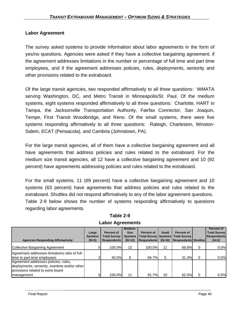## **Labor Agreement**

The survey asked systems to provide information about labor agreements in the form of yes/no questions. Agencies were asked if they have a collective bargaining agreement, if the agreement addresses limitations in the number or percentage of full time and part time employees, and if the agreement addresses policies, rules, deployments, seniority and other provisions related to the extraboard.

Of the large transit agencies, two responded affirmatively to all three questions: WMATA serving Washington, DC, and Metro Transit in Minneapolis/St. Paul. Of the medium systems, eight systems responded affirmatively to all three questions: Charlotte, HART in Tampa, the Jacksonville Transportation Authority, Fairfax Connector, San Joaquin, Tempe, First Transit Woodbridge, and Reno. Of the small systems, there were five systems responding affirmatively to all three questions: Raleigh, Charleston, Winston-Salem, ECAT (Pensacola), and Cambria (Johnstown, PA).

For the large transit agencies, all of them have a collective bargaining agreement and all have agreements that address policies and rules related to the extraboard. For the medium size transit agencies, all 12 have a collective bargaining agreement and 10 (92 percent) have agreements addressing policies and rules related to the extraboard.

For the small systems, 11 (69 percent) have a collective bargaining agreement and 10 systems (63 percent) have agreements that address policies and rules related to the extraboard. Shuttles did not respond affirmatively to any of the labor agreement questions. Table 2-9 below shows the number of systems responding affirmatively to questions regarding labor agreements.

| <b>Agencies Responding Affirmatively:</b>                                                                                                | Large<br><b>Systems</b><br>$(N=5)$ | Percent of<br><b>Total Survey</b><br><b>Respondents</b> | Medium-<br><b>Size</b><br><b>Systems</b><br>$(N=12)$ | <b>Percent of</b><br><b>Respondents</b> | <b>Small</b> | Percent of<br>Total Survey   Systems   Total Survey  <br>(N=16)   Respondents   Shuttles |          | Percent of<br><b>Total Survey</b><br><b>Respondents</b><br>$(N=2)$ |
|------------------------------------------------------------------------------------------------------------------------------------------|------------------------------------|---------------------------------------------------------|------------------------------------------------------|-----------------------------------------|--------------|------------------------------------------------------------------------------------------|----------|--------------------------------------------------------------------|
| Collective Bargaining Agreement                                                                                                          |                                    | 100.0%                                                  | 12                                                   | 100.0%                                  | 11           | 68.8%                                                                                    | 0        | 0.0%                                                               |
| Agreement addresses limitations ratio of full-<br>time to part-time employees                                                            |                                    | 40.0%                                                   | 8                                                    | 66.7%                                   | 5            | 31.3%                                                                                    | $\Omega$ | 0.0%                                                               |
| Agreement addresses policies, rules,<br>deployments, seniority, overtime and/or other<br>provisions related to extra board<br>management |                                    | 100.0%                                                  | 11                                                   | 91.7%                                   | 10           | 62.5%                                                                                    | 0        | 0.0%                                                               |

**Table 2-9 Labor Agreements**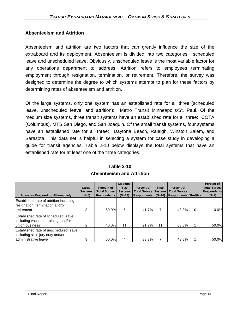## **Absenteeism and Attrition**

Absenteeism and attrition are two factors that can greatly influence the size of the extraboard and its deployment. Absenteeism is divided into two categories: scheduled leave and unscheduled leave. Obviously, unscheduled leave is the most variable factor for any operations department to address. Attrition refers to employees terminating employment through resignation, termination, or retirement. Therefore, the survey was designed to determine the degree to which systems attempt to plan for these factors by determining rates of absenteeism and attrition.

Of the large systems, only one system has an established rate for all three (scheduled leave, unscheduled leave, and attrition): Metro Transit Minneapolis/St. Paul. Of the medium size systems, three transit systems have an established rate for all three: COTA (Columbus), MTS San Diego, and San Joaquin. Of the small transit systems, four systems have an established rate for all three: Daytona Beach, Raleigh, Winston Salem, and Sarasota. This data set is helpful in selecting a system for case study in developing a guide for transit agencies. Table 2-10 below displays the total systems that have an established rate for at least one of the three categories.

|                                                                                                              | Large<br><b>Systems</b> | Percent of<br><b>Total Survey</b> | Medium-<br><b>Size</b><br><b>Systems</b> | <b>Percent of</b><br><b>Total Survey   Systems  </b> | <b>Small</b> | Percent of<br><b>Total Survey</b> |          | Percent of<br><b>Total Survey</b><br><b>Respondents</b> |
|--------------------------------------------------------------------------------------------------------------|-------------------------|-----------------------------------|------------------------------------------|------------------------------------------------------|--------------|-----------------------------------|----------|---------------------------------------------------------|
| <b>Agencies Responding Affirmatively:</b>                                                                    | $(N=5)$                 | <b>Respondents</b>                | $(N=12)$                                 | <b>Respondents</b>                                   | $(N=16)$     | <b>Respondents Shuttles</b>       |          | $(N=2)$                                                 |
| Established rate of attrition including<br>resignation, termination and/or<br><b>I</b> retirement            | 3                       | 60.0%                             | 5                                        | 41.7%                                                |              | 43.8%                             | $\Omega$ | 0.0%                                                    |
| <b>Established rate of scheduled leave</b><br>including vacation, training, and/or<br><b>Junion business</b> | 2                       | 40.0%                             | 11                                       | 91.7%                                                | 11           | 68.8%                             |          | 50.0%                                                   |
| Established rate of unscheduled leavel<br>including sick, jury duty and/or<br>administrative leave           | 3                       | 60.0%                             |                                          | 33.3%                                                |              | 43.8%                             |          | 50.0%                                                   |

**Table 2-10 Absenteeism and Attrition**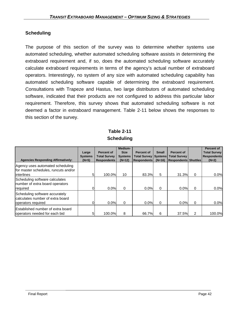## **Scheduling**

The purpose of this section of the survey was to determine whether systems use automated scheduling, whether automated scheduling software assists in determining the extraboard requirement and, if so, does the automated scheduling software accurately calculate extraboard requirements in terms of the agency's actual number of extraboard operators. Interestingly, no system of any size with automated scheduling capability has automated scheduling software capable of determining the extraboard requirement. Consultations with Trapeze and Hastus, two large distributors of automated scheduling software, indicated that their products are not configured to address this particular labor requirement. Therefore, this survey shows that automated scheduling software is not deemed a factor in extraboard management. Table 2-11 below shows the responses to this section of the survey.

## **Table 2-11 Scheduling**

| <b>Agencies Responding Affirmatively:</b>                                                      | Large<br><b>Systems</b><br>$(N=5)$ | <b>Percent of</b><br><b>Total Survey</b><br><b>Respondents</b> | Medium-<br><b>Size</b><br><b>Systems</b><br>$(N=12)$ | Percent of<br><b>Total Survey   Systems</b><br><b>Respondents</b> | <b>Small</b><br>$(N=16)$ | Percent of<br><b>Total Survey</b><br><b>Respondents Shuttles</b> |   | Percent of<br><b>Total Survey</b><br><b>Respondents</b><br>$(N=2)$ |
|------------------------------------------------------------------------------------------------|------------------------------------|----------------------------------------------------------------|------------------------------------------------------|-------------------------------------------------------------------|--------------------------|------------------------------------------------------------------|---|--------------------------------------------------------------------|
| Agency uses automated scheduling<br>for master schedules, runcuts and/or<br><b>linterlines</b> | 51                                 | 100.0%                                                         | 10                                                   | 83.3%                                                             | 5                        | 31.3%                                                            | 0 | $0.0\%$                                                            |
| Scheduling software calculates<br>number of extra board operators<br>required                  |                                    | 0.0%                                                           | $\Omega$                                             | 0.0%                                                              | 0                        | 0.0%                                                             | 0 | 0.0%                                                               |
| Scheduling software accurately<br>calculates number of extra board<br>operators required       |                                    | 0.0%                                                           | $\Omega$                                             | 0.0%                                                              | $\Omega$                 | 0.0%                                                             | 0 | 0.0%                                                               |
| <b>Established number of extra board</b><br>operators needed for each bid                      | 5                                  | 100.0%                                                         | 8                                                    | 66.7%                                                             | 6                        | 37.5%                                                            | 2 | 100.0%                                                             |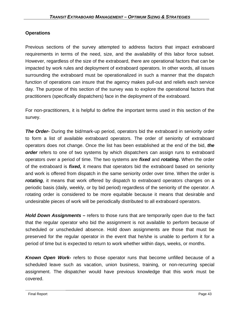## **Operations**

Previous sections of the survey attempted to address factors that impact extraboard requirements in terms of the need, size, and the availability of this labor force subset. However, regardless of the size of the extraboard, there are operational factors that can be impacted by work rules and deployment of extraboard operators. In other words, all issues surrounding the extraboard must be operationalized in such a manner that the dispatch function of operations can insure that the agency makes pull-out and reliefs each service day. The purpose of this section of the survey was to explore the operational factors that practitioners (specifically dispatchers) face in the deployment of the extraboard.

For non-practitioners, it is helpful to define the important terms used in this section of the survey.

**The Order-** During the bid/mark-up period, operators bid the extraboard in seniority order to form a list of available extraboard operators. The order of seniority of extraboard operators does not change. Once the list has been established at the end of the bid, *the order* refers to one of two systems by which dispatchers can assign runs to extraboard operators over a period of time. The two systems are *fixed* and *rotating.* When the order of the extraboard is *fixed,* it means that operators bid the extraboard based on seniority and work is offered from dispatch in the same seniority order over time. When the order is *rotating*, it means that work offered by dispatch to extraboard operators changes on a periodic basis (daily, weekly, or by bid period) regardless of the seniority of the operator. A rotating order is considered to be more equitable because it means that desirable and undesirable pieces of work will be periodically distributed to all extraboard operators.

*Hold Down Assignments –* refers to those runs that are temporarily open due to the fact that the regular operator who bid the assignment is not available to perform because of scheduled or unscheduled absence. Hold down assignments are those that must be preserved for the regular operator in the event that he/she is unable to perform it for a period of time but is expected to return to work whether within days, weeks, or months.

*Known Open Work-* refers to those operator runs that become unfilled because of a scheduled leave such as vacation, union business, training, or non-recurring special assignment. The dispatcher would have previous knowledge that this work must be covered.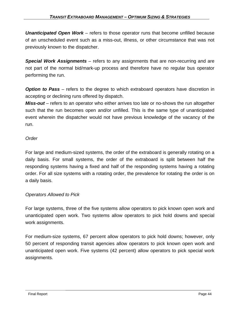*Unanticipated Open Work* – refers to those operator runs that become unfilled because of an unscheduled event such as a miss-out, illness, or other circumstance that was not previously known to the dispatcher.

*Special Work Assignments* – refers to any assignments that are non-recurring and are not part of the normal bid/mark-up process and therefore have no regular bus operator performing the run.

**Option to Pass** – refers to the degree to which extraboard operators have discretion in accepting or declining runs offered by dispatch.

*Miss-out* – refers to an operator who either arrives too late or no-shows the run altogether such that the run becomes open and/or unfilled. This is the same type of unanticipated event wherein the dispatcher would not have previous knowledge of the vacancy of the run.

### *Order*

For large and medium-sized systems, the order of the extraboard is generally rotating on a daily basis. For small systems, the order of the extraboard is split between half the responding systems having a fixed and half of the responding systems having a rotating order. For all size systems with a rotating order, the prevalence for rotating the order is on a daily basis.

### *Operators Allowed to Pick*

For large systems, three of the five systems allow operators to pick known open work and unanticipated open work. Two systems allow operators to pick hold downs and special work assignments.

For medium-size systems, 67 percent allow operators to pick hold downs; however, only 50 percent of responding transit agencies allow operators to pick known open work and unanticipated open work. Five systems (42 percent) allow operators to pick special work assignments.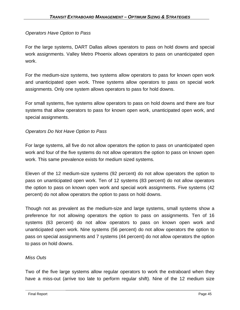## *Operators Have Option to Pass*

For the large systems, DART Dallas allows operators to pass on hold downs and special work assignments. Valley Metro Phoenix allows operators to pass on unanticipated open work.

For the medium-size systems, two systems allow operators to pass for known open work and unanticipated open work. Three systems allow operators to pass on special work assignments. Only one system allows operators to pass for hold downs.

For small systems, five systems allow operators to pass on hold downs and there are four systems that allow operators to pass for known open work, unanticipated open work, and special assignments.

## *Operators Do Not Have Option to Pass*

For large systems, all five do not allow operators the option to pass on unanticipated open work and four of the five systems do not allow operators the option to pass on known open work. This same prevalence exists for medium sized systems.

Eleven of the 12 medium-size systems (92 percent) do not allow operators the option to pass on unanticipated open work. Ten of 12 systems (83 percent) do not allow operators the option to pass on known open work and special work assignments. Five systems (42 percent) do not allow operators the option to pass on hold downs.

Though not as prevalent as the medium-size and large systems, small systems show a preference for not allowing operators the option to pass on assignments. Ten of 16 systems (63 percent) do not allow operators to pass on known open work and unanticipated open work. Nine systems (56 percent) do not allow operators the option to pass on special assignments and 7 systems (44 percent) do not allow operators the option to pass on hold downs.

### *Miss Outs*

Two of the five large systems allow regular operators to work the extraboard when they have a miss-out (arrive too late to perform regular shift). Nine of the 12 medium size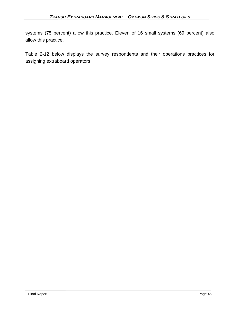systems (75 percent) allow this practice. Eleven of 16 small systems (69 percent) also allow this practice.

Table 2-12 below displays the survey respondents and their operations practices for assigning extraboard operators.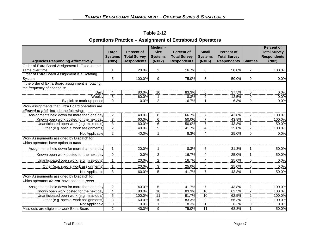## **Operations Practice – Assignment of Extraboard Operators**

|                                                     |                         | Percent of          | Medium-<br><b>Size</b>  | <b>Percent of</b>   | <b>Small</b>        | <b>Percent of</b>   |                  | <b>Percent of</b>                         |
|-----------------------------------------------------|-------------------------|---------------------|-------------------------|---------------------|---------------------|---------------------|------------------|-------------------------------------------|
|                                                     | Large<br><b>Systems</b> | <b>Total Survey</b> | <b>Systems</b>          | <b>Total Survey</b> | <b>Systems</b>      | <b>Total Survey</b> |                  | <b>Total Survey</b><br><b>Respondents</b> |
| <b>Agencies Responding Affirmatively:</b>           | $(N=5)$                 | <b>Respondents</b>  | $(N=12)$                | <b>Respondents</b>  | $(N=16)$            | <b>Respondents</b>  | <b>Shuttles</b>  | $(N=2)$                                   |
| Order of Extra Board Assignment is Fixed, or the    |                         |                     |                         |                     |                     |                     |                  |                                           |
| same over time                                      | 1                       | 20.0%               | $\overline{c}$          | 16.7%               | 8                   | 50.0%               | $\overline{2}$   | 100.0%                                    |
| Order of Extra Board Assignment is a Rotating       |                         |                     |                         |                     |                     |                     |                  |                                           |
| System                                              | 5                       | 100.0%              | 9                       | 75.0%               | 8                   | 50.0%               | $\mathbf 0$      | 0.0%                                      |
| If the order of Extra Board assignment is rotating, |                         |                     |                         |                     |                     |                     |                  |                                           |
| the frequency of change is:                         |                         |                     |                         |                     |                     |                     |                  |                                           |
| Daily<br>Weekly                                     | 4<br>3                  | 80.0%<br>60.0%      | 10                      | 83.3%<br>8.3%       | 6                   | 37.5%<br>12.5%      | $\overline{0}$   | 0.0%<br>0.0%                              |
| By pick or mark-up period                           | $\overline{0}$          | 0.0%                | $\overline{2}$          | 16.7%               | $\overline{2}$<br>1 | 6.3%                | $\frac{0}{0}$    | 0.0%                                      |
| Work assignments that Extra Board operators are     |                         |                     |                         |                     |                     |                     |                  |                                           |
| allowed to pick include the following:              |                         |                     |                         |                     |                     |                     |                  |                                           |
| Assignments held down for more than one day         | $\overline{2}$          | 40.0%               | $\overline{8}$          | 66.7%               |                     | 43.8%               | $\overline{2}$   | 100.0%                                    |
| Known open work posted for the next day             | $\overline{3}$          | 60.0%               | 6                       | 50.0%               |                     | 43.8%               | $\overline{2}$   | 100.0%                                    |
| Unanticipated open work (e.g. miss-outs)            | $\overline{3}$          | 60.0%               | $\frac{6}{5}$           | 50.0%               |                     | 43.8%               |                  | 50.0%                                     |
| Other (e.g. special work assignments)               | $2 \nightharpoonup$     | 40.0%               |                         | 41.7%               | 4                   | 25.0%               | $\overline{2}$   | 100.0%                                    |
| Not Applicable                                      | $\overline{2}$          | 40.0%               | 1                       | 8.3%                | 4                   | 25.0%               | $\mathbf 0$      | 0.0%                                      |
| Work Assignments assigned by Dispatch for           |                         |                     |                         |                     |                     |                     |                  |                                           |
| which operators have option to pass                 |                         |                     |                         |                     |                     |                     |                  |                                           |
| Assignments held down for more than one day         | $\mathbf 1$             | 20.0%               | 1                       | 8.3%                | 5                   | 31.3%               |                  | 50.0%                                     |
| Known open work posted for the next day             | $\pmb{0}$               | 0.0%                | $\boldsymbol{2}$        | 16.7%               | $\overline{4}$      | 25.0%               | $\mathbf{1}$     | 50.0%                                     |
| Unanticipated open work (e.g. miss-outs)            | 1                       | 20.0%               | $\overline{\mathbf{c}}$ | 16.7%               | 4                   | 25.0%               | 0                | 0.0%                                      |
| Other (e.g. special work assignments)               | $\mathbf 1$             | 20.0%               | $\overline{3}$          | 25.0%               | 4                   | 25.0%               | $\overline{0}$   | 0.0%                                      |
| Not Applicable                                      | 3                       | 60.0%               | 5                       | 41.7%               | $\overline{7}$      | 43.8%               | 1                | 50.0%                                     |
| Work Assignments assigned by Dispatch for           |                         |                     |                         |                     |                     |                     |                  |                                           |
| which operators do not have option to pass          |                         |                     |                         |                     |                     |                     |                  |                                           |
| Assignments held down for more than one day         | $\boldsymbol{2}$        | 40.0%               | $\overline{5}$          | 41.7%               | $\overline{7}$      | 43.8%               | $\boldsymbol{2}$ | 100.0%                                    |
| Known open work posted for the next day             | $\overline{4}$          | 80.0%               | 10                      | 83.3%               | 10                  | 62.5%               | $\overline{2}$   | 100.0%                                    |
| Unanticipated open work (e.g. miss-outs)            | $\overline{5}$          | 100.0%              | 11                      | 91.7%               | 10                  | 62.5%               | $\overline{2}$   | 100.0%                                    |
| Other (e.g. special work assignments)               | $\mathbf{3}$            | 60.0%               | 10                      | 83.3%               | $\overline{9}$      | 56.3%               | $\overline{2}$   | 100.0%                                    |
| Not Applicable                                      | 0                       | 0.0%                | 1                       | 8.3%                | 1                   | 6.3%                | 0                | 0.0%                                      |
| Miss-outs are eligible to work Extra Board          | $\overline{2}$          | 40.0%               | g                       | 75.0%               | $\overline{11}$     | 68.8%               | $\overline{1}$   | 50.0%                                     |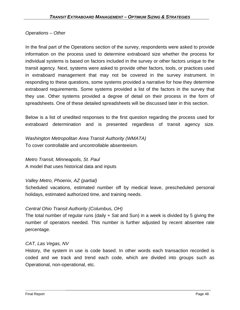## *Operations – Other*

In the final part of the Operations section of the survey, respondents were asked to provide information on the process used to determine extraboard size whether the process for individual systems is based on factors included in the survey or other factors unique to the transit agency. Next, systems were asked to provide other factors, tools, or practices used in extraboard management that may not be covered in the survey instrument. In responding to these questions, some systems provided a narrative for how they determine extraboard requirements. Some systems provided a list of the factors in the survey that they use. Other systems provided a degree of detail on their process in the form of spreadsheets. One of these detailed spreadsheets will be discussed later in this section.

Below is a list of unedited responses to the first question regarding the process used for extraboard determination and is presented regardless of transit agency size.

*Washington Metropolitan Area Transit Authority (WMATA)*  To cover controllable and uncontrollable absenteeism.

# *Metro Transit, Minneapolis, St. Paul*

A model that uses historical data and inputs

## *Valley Metro, Phoenix, AZ (partial)*

Scheduled vacations, estimated number off by medical leave, prescheduled personal holidays, estimated authorized time, and training needs.

## *Central Ohio Transit Authority (Columbus, OH)*

The total number of regular runs (daily + Sat and Sun) in a week is divided by 5 giving the number of operators needed. This number is further adjusted by recent absentee rate percentage.

## *CAT, Las Vegas, NV*

History, the system in use is code based. In other words each transaction recorded is coded and we track and trend each code, which are divided into groups such as Operational, non-operational, etc.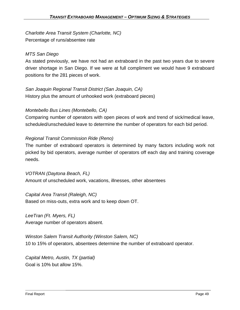*Charlotte Area Transit System (Charlotte, NC)*  Percentage of runs/absentee rate

## *MTS San Diego*

As stated previously, we have not had an extraboard in the past two years due to severe driver shortage in San Diego. If we were at full compliment we would have 9 extraboard positions for the 281 pieces of work.

*San Joaquin Regional Transit District (San Joaquin, CA)*  History plus the amount of unhooked work (extraboard pieces)

## *Montebello Bus Lines (Montebello, CA)*

Comparing number of operators with open pieces of work and trend of sick/medical leave, scheduled/unscheduled leave to determine the number of operators for each bid period.

## *Regional Transit Commission Ride (Reno)*

The number of extraboard operators is determined by many factors including work not picked by bid operators, average number of operators off each day and training coverage needs.

*VOTRAN (Daytona Beach, FL)*  Amount of unscheduled work, vacations, illnesses, other absentees

*Capital Area Transit (Raleigh, NC)*  Based on miss-outs, extra work and to keep down OT.

*LeeTran (Ft. Myers, FL)*  Average number of operators absent.

*Winston Salem Transit Authority (Winston Salem, NC)*  10 to 15% of operators, absentees determine the number of extraboard operator.

*Capital Metro, Austin, TX (partial)*  Goal is 10% but allow 15%.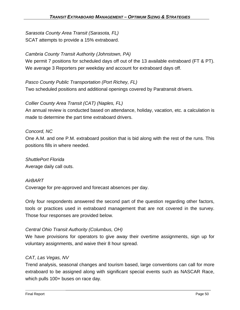*Sarasota County Area Transit (Sarasota, FL)*  SCAT attempts to provide a 15% extraboard.

## *Cambria County Transit Authority (Johnstown, PA)*

We permit 7 positions for scheduled days off out of the 13 available extraboard (FT & PT). We average 3 Reporters per weekday and account for extraboard days off.

## *Pasco County Public Transportation (Port Richey, FL)*

Two scheduled positions and additional openings covered by Paratransit drivers.

## *Collier County Area Transit (CAT) (Naples, FL)*

An annual review is conducted based on attendance, holiday, vacation, etc. a calculation is made to determine the part time extraboard drivers.

### *Concord, NC*

One A.M. and one P.M. extraboard position that is bid along with the rest of the runs. This positions fills in where needed.

*ShuttlePort Florida*  Average daily call outs.

### *AirBART*

Coverage for pre-approved and forecast absences per day.

Only four respondents answered the second part of the question regarding other factors, tools or practices used in extraboard management that are not covered in the survey. Those four responses are provided below.

### *Central Ohio Transit Authority (Columbus, OH)*

We have provisions for operators to give away their overtime assignments, sign up for voluntary assignments, and waive their 8 hour spread.

### *CAT, Las Vegas, NV*

Trend analysis, seasonal changes and tourism based, large conventions can call for more extraboard to be assigned along with significant special events such as NASCAR Race, which pulls 100+ buses on race day.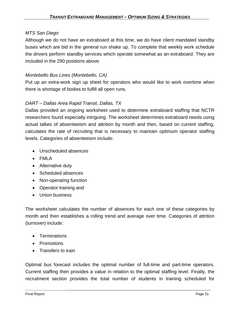#### *MTS San Diego*

Although we do not have an extraboard at this time, we do have client mandated standby buses which are bid in the general run shake up. To complete that weekly work schedule the drivers perform standby services which operate somewhat as an extraboard. They are included in the 290 positions above.

#### *Montebello Bus Lines (Montebello, CA)*

Put up an extra-work sign up sheet for operators who would like to work overtime when there is shortage of bodies to fulfill all open runs.

### *DART – Dallas Area Rapid Transit, Dallas, TX*

Dallas provided an ongoing worksheet used to determine extraboard staffing that NCTR researchers found especially intriguing. The worksheet determines extraboard needs using actual tallies of absenteeism and attrition by month and then, based on current staffing, calculates the rate of recruiting that is necessary to maintain optimum operator staffing levels. Categories of absenteeism include:

- Unscheduled absences
- FMLA
- Alternative duty
- Scheduled absences
- Non-operating function
- Operator training and
- Union business

The worksheet calculates the number of absences for each one of these categories by month and then establishes a rolling trend and average over time. Categories of attrition (turnover) include:

- Terminations
- Promotions
- Transfers to train

Optimal bus forecast includes the optimal number of full-time and part-time operators. Current staffing then provides a value in relation to the optimal staffing level. Finally, the recruitment section provides the total number of students in training scheduled for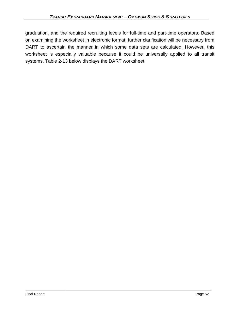graduation, and the required recruiting levels for full-time and part-time operators. Based on examining the worksheet in electronic format, further clarification will be necessary from DART to ascertain the manner in which some data sets are calculated. However, this worksheet is especially valuable because it could be universally applied to all transit systems. Table 2-13 below displays the DART worksheet.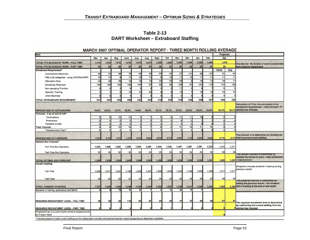**Table 2-13 DART Worksheet – Extraboard Staffing** 

| <b>BUS</b>                                                                                                                          |          |                 |          |                 |                 |                 |          |          |          |                |                 |       | Projected |       |                                                                                              |  |
|-------------------------------------------------------------------------------------------------------------------------------------|----------|-----------------|----------|-----------------|-----------------|-----------------|----------|----------|----------|----------------|-----------------|-------|-----------|-------|----------------------------------------------------------------------------------------------|--|
|                                                                                                                                     | Mar      | Apr             | May      | June            | July            | Aug             | Sept     | Oct      | Nov      | Dec            | Jan             | Feb   | Apr       |       |                                                                                              |  |
| TOTAL FTE BLOCKS OF WORK - FULL TIME                                                                                                | 1,010    | 1,010           | 1,010    | 1,010           | 1,010           | 1,010           | 1,008    | 1,008    | 1,008    | 1,008          | 1,008           | 1,008 | 1,016     |       |                                                                                              |  |
| TOTAL FTE BLOCKS OF WORK - PART TIME                                                                                                | 30       | 30 <sub>0</sub> | 30       | 30 <sup>1</sup> | 30              | 30 <sup>1</sup> | 26       | 26       | 26       | 26             | 26              | 26    | 26        |       | The data for the blocks of work is actual data<br>from planning department                   |  |
| <b>Extraboard Requirement*</b>                                                                                                      |          |                 |          |                 |                 |                 |          |          |          |                |                 |       | Trend     | Avg   |                                                                                              |  |
| <b>Unscheduled Absences</b>                                                                                                         | 86       | 91              | 88       | 76              | 93              | 90              | 82       | 87       | 87       | 121            | 98              | 102   | 91        | 92    |                                                                                              |  |
| FMLA (all categories - using VAC/Sick/LWP)                                                                                          | 12       | 11              |          | 11              | 12              | 11              |          | 10       | 11       | 12             | 11              | 11    | 11        | 11    |                                                                                              |  |
| <b>Alternative Duty</b>                                                                                                             | 22       | 20              | 20       | 15              | 13              | 15              | 20       | 23       | 23       |                | 16              | 14    | 18        | 17    |                                                                                              |  |
| <b>Scheduled Absences</b>                                                                                                           | 108      | 109             | 106      | 160             | 104             | 97              | 90       | 85       | 129      | 97             | 10 <sup>2</sup> | 110   | 110       | 108   |                                                                                              |  |
| Non-operating Function                                                                                                              |          |                 |          |                 |                 |                 |          |          | 11       |                |                 |       | 6         |       |                                                                                              |  |
| <b>Operator Training</b>                                                                                                            |          |                 |          | 12              | 15              | 23              |          |          | 13       |                | 10              | 10    | 10        | 10    |                                                                                              |  |
| <b>Union Business</b>                                                                                                               |          |                 |          |                 |                 |                 |          |          |          |                |                 |       | 3         |       |                                                                                              |  |
| <b>TOTAL EXTRABOARD REQUIREMENT</b>                                                                                                 | 241      | 247             | 230      | 285             | 242             | 245             | 216      | 220      | 278      | 246            | 248             | 257   | 249       | 246   |                                                                                              |  |
|                                                                                                                                     |          |                 |          |                 |                 |                 |          |          |          |                |                 |       |           |       | Calculation of % for the extraboard is the                                                   |  |
|                                                                                                                                     |          |                 |          |                 |                 |                 |          |          |          |                |                 | 20.9% | 20.3%     | 20.1% | extraboard requirements + total turnover / FT<br>optimal bus forecast.                       |  |
| PERCENTAGE OF EXTRABOARD<br>Turnover - # as of end of mth*                                                                          | 19.5%    | 20.2%           | 19.4%    | 22.9%           | 19.6%           | 20.0%           | 18.1%    | 18.4%    | 22.3%    | 20.4%          | 20.4%           |       |           |       |                                                                                              |  |
| Terminations                                                                                                                        | 3        | 9               | 14       | 14              |                 |                 | 6        | 8        | 11       | 11             | 10              |       | 9         |       |                                                                                              |  |
| Promotions                                                                                                                          | n        | $\Omega$        | $\Omega$ | $\Omega$        | $\Omega$        | $\Omega$        | $\Omega$ | $\Omega$ | c        | $\mathfrak{D}$ |                 |       | $\Omega$  |       |                                                                                              |  |
| Transfers to train                                                                                                                  |          | <sub>0</sub>    |          | $\Omega$        | $\Omega$        | o               | $\Omega$ | $\Omega$ | $\Omega$ | $\Omega$       |                 |       | $\Omega$  |       |                                                                                              |  |
| <b>Total Turnover</b>                                                                                                               | 3        | 9               | 14       | 14              | 4               | $\overline{7}$  | 6        | 8        | 11       | 13             | 11              | 10    | 9         |       |                                                                                              |  |
| Transfers from Train *                                                                                                              | $\Omega$ | $\Omega$        | o        | ol              | $\Omega$        | $\circ$         | $\Omega$ | $\Omega$ | $\Omega$ | $\Omega$       |                 |       | $\Omega$  |       |                                                                                              |  |
|                                                                                                                                     |          |                 |          |                 |                 |                 |          |          |          |                |                 |       |           |       | The turnover % is determined by dividing the                                                 |  |
| PERCENTAGE OF TURNOVER                                                                                                              | 0.2%     | 0.7%            | 1.2%     | 1.2%            | 0.3%            | 0.6%            | 0.5%     | 0.7%     | 0.9%     | 1.1%           | 0.9%            | 0.8%  | 0.7%      | 0.7%  | total turnover/current staffing                                                              |  |
| <b>Optimal Bus Forecast*</b>                                                                                                        |          |                 |          |                 |                 |                 |          |          |          |                |                 |       |           |       |                                                                                              |  |
| Full-Time Bus Operators                                                                                                             | 1,254    | 1,266           | 1,254    | 1,309           | 1,256           | 1,262           | 1,230    | 1,236    | 1,297    | 1,267          | 1,267           | 1,275 | 1,274     | 1,271 |                                                                                              |  |
| Part-Time Bus Operators                                                                                                             | 30       | 30              | 30       | 30              | 30 <sub>1</sub> | 30              | 26       | 26       | 26       | 26             | 26              | 26    | 26        | 26    |                                                                                              |  |
|                                                                                                                                     |          |                 |          |                 |                 |                 |          |          |          |                |                 |       |           |       | The Optimal Number is determined by                                                          |  |
| <b>TOTAL OPTIMAL BUS FORECAST</b>                                                                                                   | 1,284    | 1,296           | 1,284    | 1,339           | 1,286           | 1,292           | 1,256    | 1,262    | 1,323    | 1,293          | 1,293           | 1,301 | 1,300     |       | totaling the blocks of work + total extraboard<br>1,297 + total turnover                     |  |
| <b>Current Staffing</b>                                                                                                             |          |                 |          |                 |                 |                 |          |          |          |                |                 |       |           |       |                                                                                              |  |
|                                                                                                                                     |          |                 |          |                 |                 |                 |          |          |          |                |                 |       |           |       | (Projection includes students in training during                                             |  |
| Full-Time                                                                                                                           | 1,206    | 1,217           | 1,201    | 1,199           | 1,203           | 1,201           | 1,206    | 1,206    | 1,223    | 1,195          | 1,209           | 1,209 | 1,217     | 1,217 | previous month)                                                                              |  |
|                                                                                                                                     |          |                 |          |                 |                 |                 |          |          |          |                |                 |       |           |       |                                                                                              |  |
| Part-Time                                                                                                                           | 25       | 25              | 25       | 27              | 27              | 25              | 26       | 25       | 25       | 26             | 26              | 26    | 26        | 26    |                                                                                              |  |
|                                                                                                                                     |          |                 |          |                 |                 |                 |          |          |          |                |                 |       |           |       | The projected starring is determined by<br>adding the previous month + the students          |  |
| <b>TOTAL CURRENT STAFFING</b>                                                                                                       | 1,231    | 1,242           | 1,226    | 1,226           | 1,230           | 1,226           | 1,232    | 1,231    | 1,248    | 1,221          | 1,235           | 1,235 | 1,243     |       | 1.243 still in training at the end of last month                                             |  |
| Students in training, graduating next Month                                                                                         |          |                 | 15       | 12              | 12              |                 |          | 12       | 36       | 18             |                 |       |           |       |                                                                                              |  |
|                                                                                                                                     |          |                 |          |                 |                 |                 |          |          |          |                |                 |       |           |       |                                                                                              |  |
| REQUIRED RECRUITMENT LEVEL - FULL TIME                                                                                              | 48       | 49              | 53       | 110             | 53              | 61              | 24       | 30       | 74       | 72             | 58              | 66    | 57        | 54    |                                                                                              |  |
|                                                                                                                                     |          |                 |          |                 |                 |                 |          |          |          |                |                 |       |           |       | The required recruitment level is determined<br>by subtracting the current staffing from the |  |
| REQUIRED RECRUITMENT LEVEL - PART TIME                                                                                              |          |                 |          |                 |                 |                 |          |          |          |                |                 |       |           |       | <b>Oloptimal bus forecast</b>                                                                |  |
| Projected hires in current month (hired or cleared to hire<br>as if report date)                                                    |          |                 |          |                 |                 |                 |          |          |          |                |                 |       |           |       |                                                                                              |  |
| *Trending based on total current staffing as the independent variable and optimal operator report categories as dependent variables |          |                 |          |                 |                 |                 |          |          |          |                |                 |       |           |       |                                                                                              |  |

#### MARCH 2007 OPTIMAL OPERATOR REPORT - THREE MONTH ROLLING AVERAGE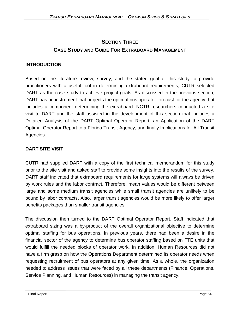## **SECTION THREE CASE STUDY AND GUIDE FOR EXTRABOARD MANAGEMENT**

## **INTRODUCTION**

Based on the literature review, survey, and the stated goal of this study to provide practitioners with a useful tool in determining extraboard requirements, CUTR selected DART as the case study to achieve project goals. As discussed in the previous section, DART has an instrument that projects the optimal bus operator forecast for the agency that includes a component determining the extraboard. NCTR researchers conducted a site visit to DART and the staff assisted in the development of this section that includes a Detailed Analysis of the DART Optimal Operator Report, an Application of the DART Optimal Operator Report to a Florida Transit Agency, and finally Implications for All Transit Agencies.

## **DART SITE VISIT**

CUTR had supplied DART with a copy of the first technical memorandum for this study prior to the site visit and asked staff to provide some insights into the results of the survey. DART staff indicated that extraboard requirements for large systems will always be driven by work rules and the labor contract. Therefore, mean values would be different between large and some medium transit agencies while small transit agencies are unlikely to be bound by labor contracts. Also, larger transit agencies would be more likely to offer larger benefits packages than smaller transit agencies.

The discussion then turned to the DART Optimal Operator Report. Staff indicated that extraboard sizing was a by-product of the overall organizational objective to determine optimal staffing for bus operations. In previous years, there had been a desire in the financial sector of the agency to determine bus operator staffing based on FTE units that would fulfill the needed blocks of operator work. In addition, Human Resources did not have a firm grasp on how the Operations Department determined its operator needs when requesting recruitment of bus operators at any given time. As a whole, the organization needed to address issues that were faced by all these departments (Finance, Operations, Service Planning, and Human Resources) in managing the transit agency.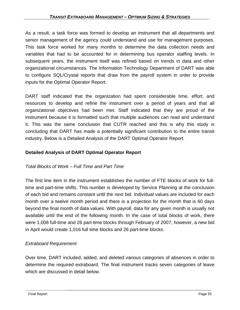#### *TRANSIT EXTRABOARD MANAGEMENT – OPTIMUM SIZING & STRATEGIES*

As a result, a task force was formed to develop an instrument that all departments and senior management of the agency could understand and use for management purposes. This task force worked for many months to determine the data collection needs and variables that had to be accounted for in determining bus operator staffing levels. In subsequent years, the instrument itself was refined based on trends in data and other organizational circumstances. The Information Technology Department of DART was able to configure SQL/Crystal reports that draw from the payroll system in order to provide inputs for the Optimal Operator Report.

DART staff indicated that the organization had spent considerable time, effort, and resources to develop and refine the instrument over a period of years and that all organizational objectives had been met. Staff indicated that they are proud of the instrument because it is formatted such that multiple audiences can read and understand it. This was the same conclusion that CUTR reached and this is why this study is concluding that DART has made a potentially significant contribution to the entire transit industry. Below is a Detailed Analysis of the DART Optimal Operator Report.

#### **Detailed Analysis of DART Optimal Operator Report**

#### *Total Blocks of Work – Full Time and Part Time*

The first line item in the instrument establishes the number of FTE blocks of work for fulltime and part-time shifts. This number is developed by Service Planning at the conclusion of each bid and remains constant until the next bid. Individual values are included for each month over a twelve month period and there is a projection for the month that is 60 days beyond the final month of data values. With payroll, data for any given month is usually not available until the end of the following month. In the case of total blocks of work, there were 1,008 full-time and 26 part-time blocks through February of 2007; however, a new bid in April would create 1,016 full time blocks and 26 part-time blocks.

#### *Extraboard Requirement*

Over time, DART included, added, and deleted various categories of absences in order to determine the required extraboard. The final instrument tracks seven categories of leave which are discussed in detail below.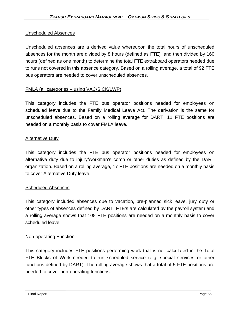#### Unscheduled Absences

Unscheduled absences are a derived value whereupon the total hours of unscheduled absences for the month are divided by 8 hours (defined as FTE) and then divided by 160 hours (defined as one month) to determine the total FTE extraboard operators needed due to runs not covered in this absence category. Based on a rolling average, a total of 92 FTE bus operators are needed to cover unscheduled absences.

### FMLA (all categories – using VAC/SICK/LWP)

This category includes the FTE bus operator positions needed for employees on scheduled leave due to the Family Medical Leave Act. The derivation is the same for unscheduled absences. Based on a rolling average for DART, 11 FTE positions are needed on a monthly basis to cover FMLA leave.

#### Alternative Duty

This category includes the FTE bus operator positions needed for employees on alternative duty due to injury/workman's comp or other duties as defined by the DART organization. Based on a rolling average, 17 FTE positions are needed on a monthly basis to cover Alternative Duty leave.

#### Scheduled Absences

This category included absences due to vacation, pre-planned sick leave, jury duty or other types of absences defined by DART. FTE's are calculated by the payroll system and a rolling average shows that 108 FTE positions are needed on a monthly basis to cover scheduled leave.

#### Non-operating Function

This category includes FTE positions performing work that is not calculated in the Total FTE Blocks of Work needed to run scheduled service (e.g. special services or other functions defined by DART). The rolling average shows that a total of 5 FTE positions are needed to cover non-operating functions.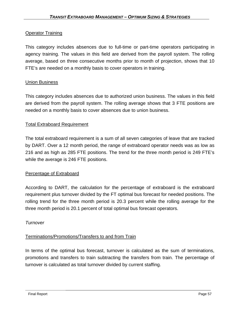## Operator Training

This category includes absences due to full-time or part-time operators participating in agency training. The values in this field are derived from the payroll system. The rolling average, based on three consecutive months prior to month of projection, shows that 10 FTE's are needed on a monthly basis to cover operators in training.

### Union Business

This category includes absences due to authorized union business. The values in this field are derived from the payroll system. The rolling average shows that 3 FTE positions are needed on a monthly basis to cover absences due to union business.

#### Total Extraboard Requirement

The total extraboard requirement is a sum of all seven categories of leave that are tracked by DART. Over a 12 month period, the range of extraboard operator needs was as low as 216 and as high as 285 FTE positions. The trend for the three month period is 249 FTE's while the average is 246 FTE positions.

#### Percentage of Extraboard

According to DART, the calculation for the percentage of extraboard is the extraboard requirement plus turnover divided by the FT optimal bus forecast for needed positions. The rolling trend for the three month period is 20.3 percent while the rolling average for the three month period is 20.1 percent of total optimal bus forecast operators.

#### *Turnover*

### Terminations/Promotions/Transfers to and from Train

In terms of the optimal bus forecast, turnover is calculated as the sum of terminations, promotions and transfers to train subtracting the transfers from train. The percentage of turnover is calculated as total turnover divided by current staffing.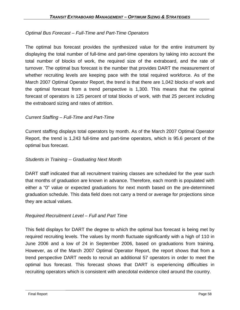## *Optimal Bus Forecast – Full-Time and Part-Time Operators*

The optimal bus forecast provides the synthesized value for the entire instrument by displaying the total number of full-time and part-time operators by taking into account the total number of blocks of work, the required size of the extraboard, and the rate of turnover. The optimal bus forecast is the number that provides DART the measurement of whether recruiting levels are keeping pace with the total required workforce. As of the March 2007 Optimal Operator Report, the trend is that there are 1,042 blocks of work and the optimal forecast from a trend perspective is 1,300. This means that the optimal forecast of operators is 125 percent of total blocks of work, with that 25 percent including the extraboard sizing and rates of attrition.

## *Current Staffing – Full-Time and Part-Time*

Current staffing displays total operators by month. As of the March 2007 Optimal Operator Report, the trend is 1,243 full-time and part-time operators, which is 95.6 percent of the optimal bus forecast.

### *Students in Training -- Graduating Next Month*

DART staff indicated that all recruitment training classes are scheduled for the year such that months of graduation are known in advance. Therefore, each month is populated with either a "0" value or expected graduations for next month based on the pre-determined graduation schedule. This data field does not carry a trend or average for projections since they are actual values.

### *Required Recruitment Level – Full and Part Time*

This field displays for DART the degree to which the optimal bus forecast is being met by required recruiting levels. The values by month fluctuate significantly with a high of 110 in June 2006 and a low of 24 in September 2006, based on graduations from training. However, as of the March 2007 Optimal Operator Report, the report shows that from a trend perspective DART needs to recruit an additional 57 operators in order to meet the optimal bus forecast. This forecast shows that DART is experiencing difficulties in recruiting operators which is consistent with anecdotal evidence cited around the country.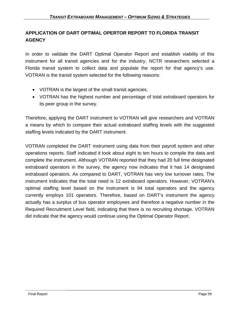## **APPLICATION OF DART OPTIMAL OPERTOR REPORT TO FLORIDA TRANSIT AGENCY**

In order to validate the DART Optimal Operator Report and establish viability of this instrument for all transit agencies and for the industry, NCTR researchers selected a Florida transit system to collect data and populate the report for that agency's use. VOTRAN is the transit system selected for the following reasons:

- VOTRAN is the largest of the small transit agencies.
- VOTRAN has the highest number and percentage of total extraboard operators for its peer group in the survey.

Therefore, applying the DART instrument to VOTRAN will give researchers and VOTRAN a means by which to compare their actual extraboard staffing levels with the suggested staffing levels indicated by the DART instrument.

VOTRAN completed the DART instrument using data from their payroll system and other operations reports. Staff indicated it took about eight to ten hours to compile the data and complete the instrument. Although VOTRAN reported that they had 20 full time designated extraboard operators in the survey, the agency now indicates that it has 14 designated extraboard operators. As compared to DART, VOTRAN has very low turnover rates. The instrument indicates that the total need is 12 extraboard operators. However, VOTRAN's optimal staffing level based on the instrument is 94 total operators and the agency currently employs 101 operators. Therefore, based on DART's instrument the agency actually has a surplus of bus operator employees and therefore a negative number in the Required Recruitment Level field, indicating that there is no recruiting shortage. VOTRAN did indicate that the agency would continue using the Optimal Operator Report.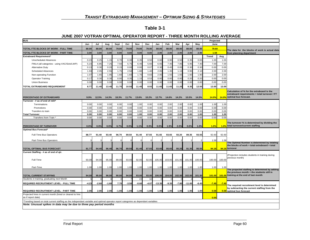## **Table 3-1**

| JUNE 2007 VOTRAN OPTIMAL OPERATOR REPORT - THREE MONTH ROLLING AVERAGE |
|------------------------------------------------------------------------|
|------------------------------------------------------------------------|

| <b>BUS</b>                                                                                                                         |         |         |         |         |         |          |         |          |         |         |          |         | Projected |         |                                                                                              |
|------------------------------------------------------------------------------------------------------------------------------------|---------|---------|---------|---------|---------|----------|---------|----------|---------|---------|----------|---------|-----------|---------|----------------------------------------------------------------------------------------------|
|                                                                                                                                    | Jun     | Jul     | Aug     | Sept    | Oct     | Nov      | Dec     | Jan      | Feb     | Mar     | Apr      | May     | June      |         |                                                                                              |
| TOTAL FTE BLOCKS OF WORK - FULL TIME                                                                                               | 80.00   | 80.00   | 80.00   | 79.00   | 79.00   | 79.00    | 79.00   | 80.00    | 80.00   | 80.00   | 80.00    | 80.00   | 79.60     |         | The data for the blocks of work is actual data                                               |
| TOTAL FTE BLOCKS OF WORK - PART TIME                                                                                               | 3.00    | 3.00    | 3.00    | 0.00    | 0.00    | 0.00     | 0.00    | 2.00     | 2.00    | 2.00    | 2.00     | 2.00    | 1.58      |         | from planning department                                                                     |
| <b>Extraboard Requirement*</b>                                                                                                     |         |         |         |         |         |          |         |          |         |         |          |         | Trend     | Avg     |                                                                                              |
| <b>Unscheduled Absences</b>                                                                                                        | 0.23    | 0.25    | 1.15    | 0.70    | 0.30    | 0.35     | 0.50    | 0.60     | 0.90    | 0.50    | 0.35     | 0.65    | 1.00      | 1.00    |                                                                                              |
| FMLA (all categories - using VAC/Sick/LWP)                                                                                         | 5.23    | 6.85    | 7.25    | 7.50    | 5.75    | 6.40     | 5.60    | 6.65     | 7.40    | 7.85    | 5.95     | 7.40    | 7.00      | 7.00    |                                                                                              |
| <b>Alternative Duty</b>                                                                                                            | 0.13    | 0.3(    | 0.20    | 0.15    | 0.00    | 0.00     | 0.07    | 0.30     | 0.45    | 0.05    | 0.30     | 0.30    | 0.00      | 0.00    |                                                                                              |
| <b>Scheduled Absences</b>                                                                                                          | 1.93    | 2.05    | 2.55    | 1.75    | 2.50    | 1.80     | 1.40    | 2.05     | 1.35    | 1.15    | 0.95     | 2.10    | 2.00      | 2.00    |                                                                                              |
| Non-operating Function                                                                                                             | 1.07    | 1.65    | 1.95    | 1.60    | 1.60    | 1.70     | 0.83    | 2.05     | 1.55    | 1.65    | 1.60     | 1.90    | 2.00      | 2.00    |                                                                                              |
| <b>Operator Training</b>                                                                                                           | 0.17    | 0.30    | 0.30    | 0.00    | 0.35    | 1.15     | 0.53    | 0.00     | 0.00    | 0.00    | 0.20     | 0.20    | 0.00      | 0.00    |                                                                                              |
| <b>Union Business</b>                                                                                                              | 0.00    | 0.00    | 0.0(    | 0.00    | 0.00    | 0.00     | 0.00    | 0.00     | 0.0(    | 0.0(    | 0.00     | 0.00    | 0.00      | 0.00    |                                                                                              |
| TOTAL EXTRABOARD REQUIREMENT                                                                                                       | 8.77    | 11.40   | 13.40   | 11.70   | 10.50   | 11.40    | 8.93    | 11.65    | 11.65   | 11.20   | 9.35     | 12.55   | 12.00     | 12.00   |                                                                                              |
|                                                                                                                                    |         |         |         |         |         |          |         |          |         |         |          |         |           |         |                                                                                              |
|                                                                                                                                    |         |         |         |         |         |          |         |          |         |         |          |         |           |         | Calculation of % for the extraboard is the<br>extraboard requirements + total turnover / FT  |
| PERCENTAGE OF EXTRABOARD                                                                                                           | 9.9%    | 12.5%   | 14.3%   | 18.3%   | 11.7%   | 13.6%    | 10.2%   | 12.7%    | 14.6%   | 14.2%   | 10.5%    | 14.5%   | 14.0%     | 14.0%   | optimal bus forecast.                                                                        |
| Turnover - # as of end of mth'                                                                                                     |         |         |         |         |         |          |         |          |         |         |          |         |           |         |                                                                                              |
| Terminations                                                                                                                       | 0.00    | 0.00    | 0.00    | 6.00    | 0.00    | 1.00     | 0.00    | 0.00     | 2.00    | 2.00    | 0.00     | 1.00    | 1.00      | 1.00    |                                                                                              |
| Promotions                                                                                                                         | 0.00    | 0.00    | 0.00    | 0.00    | 0.00    | 0.00     | 0.00    | 0.00     | 0.00    | 0.00    | 0.00     | 0.00    | 0.00      | 0.00    |                                                                                              |
| Transfers to train                                                                                                                 | 0.00    | 0.00    | 0.00    | 0.00    | 0.00    | 0.00     | 0.00    | 0.00     | 0.00    | 0.00    | 0.00     | 0.00    | 0.00      | 0.00    |                                                                                              |
| <b>Total Turnover</b>                                                                                                              | 0.00    | 0.00    | 0.00    | 6.00    | 0.00    | 1.00     | 0.00    | 0.00     | 2.00    | 2.00    | 0.00     | 1.00    | 1.00      | 1.00    |                                                                                              |
| Transfers from Train '                                                                                                             | 0.00    | 0.00    | 0.00    | 0.00    | 0.00    | 0.00     | 0.00    | 0.00     | 0.00    | 0.00    | 0.00     | 0.00    | 0.00      | 0.00    |                                                                                              |
|                                                                                                                                    |         |         |         |         |         |          |         |          |         |         |          |         |           |         | The turnover % is determined by dividing the                                                 |
| PERCENTAGE OF TURNOVER                                                                                                             | 0.0%    | 0.0%    | 0.0%    | 6.7%    | 0.0%    | 1.1%     | 0.0%    | 0.0%     | 1.9%    | 2.0%    | 0.0%     | 1.0%    | 1.0%      |         | 1.0% total turnover/current staffing                                                         |
| Optimal Bus Forecast*                                                                                                              |         |         |         |         |         |          |         |          |         |         |          |         |           |         |                                                                                              |
| Full-Time Bus Operators                                                                                                            | 88.77   | 91.40   | 93.40   | 96.70   | 89.50   | 91.40    | 87.93   | 91.65    | 93.65   | 93.20   | 89.35    | 93.55   | 92.60     | 92.60   |                                                                                              |
|                                                                                                                                    |         |         |         |         |         |          |         |          |         |         |          |         |           |         |                                                                                              |
| Part-Time Bus Operators                                                                                                            | з       |         |         |         |         | $\Omega$ |         |          |         |         |          |         | 1.58      | 1.58    | The Optimal Number is determined by totaling                                                 |
|                                                                                                                                    |         |         |         |         |         |          |         |          |         |         |          |         |           |         | the blocks of work + total extraboard + total                                                |
| TOTAL OPTIMAL BUS FORECAST                                                                                                         | 91.77   | 94.40   | 96.40   | 96.70   | 89.50   | 91.40    | 87.93   | 93.65    | 95.65   | 95.20   | 91.35    | 95.55   | 94.18     |         | 94.18 turnover                                                                               |
| Current Staffing - # as of end of qtr.                                                                                             |         |         |         |         |         |          |         |          |         |         |          |         |           |         |                                                                                              |
|                                                                                                                                    |         |         |         |         |         |          |         |          |         |         |          |         |           |         | (Projection includes students in training during<br>previous month)                          |
| Full-Time                                                                                                                          | 93.00   | 94.00   | 95.00   | 89.00   | 93.00   | 92.00    | 92.00   | 105.00   | 103.00  | 101.00  | 101.00   | 100.00  | 100.00    | 100.00  |                                                                                              |
|                                                                                                                                    |         |         |         |         |         |          |         |          |         |         |          |         |           |         |                                                                                              |
| Part-Time                                                                                                                          | 1.00    | 1.00    | 1.00    | 1.00    | 1.00    | 1.00     | 1.00    | 1.00     | 1.00    | 1.00    | 1.00     | 1.00    | 1.00      | 1.00    |                                                                                              |
|                                                                                                                                    |         |         |         |         |         |          |         |          |         |         |          |         |           |         | The projected staffing is determined by adding<br>the previous month + the students still in |
| <b>TOTAL CURRENT STAFFING</b>                                                                                                      | 94.00   | 95.00   | 96.00   | 90.00   | 94.00   | 93.00    | 93.00   | 106.00   | 104.00  | 102.00  | 102.00   | 101.00  | 101.00    |         | 101.00 training at the end of last month                                                     |
| Students in training, graduating next Month                                                                                        |         |         |         |         |         | 23       | 16      |          |         |         |          |         |           |         |                                                                                              |
| REQUIRED RECRUITMENT LEVEL - FULL TIME                                                                                             | $-4.23$ | $-2.60$ | $-1.60$ | 7.70    | $-3.50$ | $-0.60$  | $-4.07$ | $-13.35$ | $-9.35$ | $-7.80$ | $-11.65$ | $-6.45$ | $-7.40$   | $-7.40$ |                                                                                              |
|                                                                                                                                    |         |         |         |         |         |          |         |          |         |         |          |         |           |         | The required recruitment level is determined                                                 |
| REQUIRED RECRUITMENT LEVEL - PART TIME                                                                                             | 2.00    | 2.00    | 2.00    | $-1.00$ | $-1.00$ | $-1.00$  | $-1.00$ | 1.00     | 1.00    | 1.00    | 1.00     | 1.00    | 0.58      |         | by subtracting the current staffing from the<br>0.58 optimal bus forecast                    |
| Projected hires in current month (hired or cleared to hire                                                                         |         |         |         |         |         |          |         |          |         |         |          |         |           |         |                                                                                              |
| as if report date)                                                                                                                 |         |         |         |         |         |          |         |          |         |         |          |         | 0.00      |         |                                                                                              |
| Trending based on total current staffing as the independant variable and optimal operator report categories as dependant variables |         |         |         |         |         |          |         |          |         |         |          |         |           |         |                                                                                              |
| Note: Unusual spikes in data may be due to three pay period months                                                                 |         |         |         |         |         |          |         |          |         |         |          |         |           |         |                                                                                              |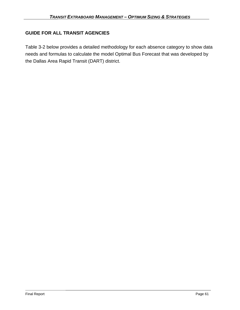## **GUIDE FOR ALL TRANSIT AGENCIES**

Table 3-2 below provides a detailed methodology for each absence category to show data needs and formulas to calculate the model Optimal Bus Forecast that was developed by the Dallas Area Rapid Transit (DART) district.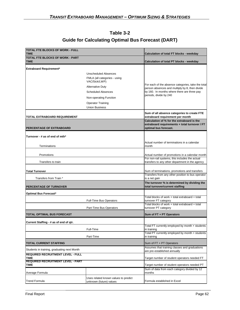| Table 3-2                                                |  |
|----------------------------------------------------------|--|
| <b>Guide for Calculating Optimal Bus Forecast (DART)</b> |  |

| <b>TOTAL FTE BLOCKS OF WORK - FULL</b><br><b>TIME</b>   | Calculation of total FT blocks - weekday                        |                                                                                                      |  |  |  |  |
|---------------------------------------------------------|-----------------------------------------------------------------|------------------------------------------------------------------------------------------------------|--|--|--|--|
| <b>TOTAL FTE BLOCKS OF WORK - PART</b>                  |                                                                 |                                                                                                      |  |  |  |  |
| <b>TIME</b>                                             |                                                                 | Calculation of total PT blocks - weekday                                                             |  |  |  |  |
| <b>Extraboard Requirement*</b>                          |                                                                 |                                                                                                      |  |  |  |  |
|                                                         | <b>Unscheduled Absences</b>                                     |                                                                                                      |  |  |  |  |
|                                                         | FMLA (all categories - using<br>VAC/Sick/LWP)                   |                                                                                                      |  |  |  |  |
|                                                         | <b>Alternative Duty</b>                                         | For each of the absence categories, take the total<br>person absences and multiply by 8, then divide |  |  |  |  |
|                                                         | <b>Scheduled Absences</b>                                       | by 160. In months where there are three pay                                                          |  |  |  |  |
|                                                         | Non-operating Function                                          | periods, divide by 240                                                                               |  |  |  |  |
|                                                         | <b>Operator Training</b>                                        |                                                                                                      |  |  |  |  |
|                                                         | <b>Union Business</b>                                           |                                                                                                      |  |  |  |  |
|                                                         |                                                                 | Sum of all absence categories to create FTE                                                          |  |  |  |  |
| <b>TOTAL EXTRABOARD REQUIREMENT</b>                     |                                                                 | extraboard requirement per month<br>Calculation of % for the extraboard is the                       |  |  |  |  |
|                                                         |                                                                 | extraboard requirements + total turnover / FT                                                        |  |  |  |  |
| PERCENTAGE OF EXTRABOARD                                |                                                                 | optimal bus forecast.                                                                                |  |  |  |  |
| Turnover - # as of end of mth*                          |                                                                 |                                                                                                      |  |  |  |  |
|                                                         |                                                                 |                                                                                                      |  |  |  |  |
| Terminations                                            |                                                                 | Actual number of terminations in a calendar<br>month                                                 |  |  |  |  |
|                                                         |                                                                 |                                                                                                      |  |  |  |  |
| Promotions                                              |                                                                 | Actual number of promotions in a calendar month                                                      |  |  |  |  |
| Transfers to train                                      |                                                                 | For non-rail systems, this includes the actual<br>transfers to any other department in the agency    |  |  |  |  |
|                                                         |                                                                 |                                                                                                      |  |  |  |  |
| <b>Total Turnover</b>                                   |                                                                 | Sum of terminations, promotions and transfers                                                        |  |  |  |  |
| Transfers from Train *                                  |                                                                 | Transfers from any other position to bus operator<br>is a net gain                                   |  |  |  |  |
|                                                         |                                                                 | The turnover % is determined by dividing the                                                         |  |  |  |  |
| <b>PERCENTAGE OF TURNOVER</b>                           |                                                                 | total turnover/current staffing                                                                      |  |  |  |  |
| <b>Optimal Bus Forecast*</b>                            |                                                                 |                                                                                                      |  |  |  |  |
|                                                         | <b>Full-Time Bus Operators</b>                                  | Total blocks of work + total extraboard + total<br>turnover FT category                              |  |  |  |  |
|                                                         |                                                                 | Total blocks of work + total extraboard + total                                                      |  |  |  |  |
|                                                         | Part-Time Bus Operators                                         | turnover PT category                                                                                 |  |  |  |  |
| <b>TOTAL OPTIMAL BUS FORECAST</b>                       |                                                                 | Sum of FT + PT Operators                                                                             |  |  |  |  |
| Current Staffing - # as of end of gtr.                  |                                                                 |                                                                                                      |  |  |  |  |
|                                                         |                                                                 | Total FT currently employed by month + students                                                      |  |  |  |  |
|                                                         | Full-Time                                                       | in training<br>Total PT currently employed by month + students                                       |  |  |  |  |
|                                                         | Part-Time                                                       | in training                                                                                          |  |  |  |  |
| <b>TOTAL CURRENT STAFFING</b>                           |                                                                 | Sum of FT + PT Operators                                                                             |  |  |  |  |
| Students in training, graduating next Month             |                                                                 | Assumes that training classes and graduations                                                        |  |  |  |  |
| <b>REQUIRED RECRUITMENT LEVEL - FULL</b>                |                                                                 | are pre-established annually                                                                         |  |  |  |  |
| <b>TIME</b>                                             |                                                                 | Target number of student operators needed FT                                                         |  |  |  |  |
| <b>REQUIRED RECRUITMENT LEVEL - PART</b><br><b>TIME</b> |                                                                 | Target number of student operators needed PT                                                         |  |  |  |  |
|                                                         |                                                                 | Sum of data from each category divided by 12                                                         |  |  |  |  |
| Average Formula                                         |                                                                 | months                                                                                               |  |  |  |  |
| <b>Trend Formula</b>                                    | Uses related known values to predict<br>unknown (future) values | Formula established in Excel                                                                         |  |  |  |  |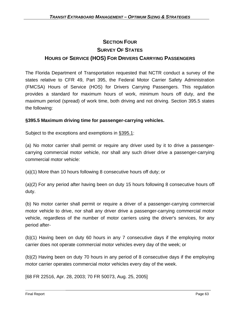# **SECTION FOUR SURVEY OF STATES HOURS OF SERVICE (HOS) FOR DRIVERS CARRYING PASSENGERS**

The Florida Department of Transportation requested that NCTR conduct a survey of the states relative to CFR 49, Part 395, the Federal Motor Carrier Safety Administration (FMCSA) Hours of Service (HOS) for Drivers Carrying Passengers. This regulation provides a standard for maximum hours of work, minimum hours off duty, and the maximum period (spread) of work time, both driving and not driving. Section 395.5 states the following:

## **§395.5 Maximum driving time for passenger-carrying vehicles.**

Subject to the exceptions and exemptions in §395.1:

(a) No motor carrier shall permit or require any driver used by it to drive a passengercarrying commercial motor vehicle, nor shall any such driver drive a passenger-carrying commercial motor vehicle:

(a)(1) More than 10 hours following 8 consecutive hours off duty; or

(a)(2) For any period after having been on duty 15 hours following 8 consecutive hours off duty.

(b) No motor carrier shall permit or require a driver of a passenger-carrying commercial motor vehicle to drive, nor shall any driver drive a passenger-carrying commercial motor vehicle, regardless of the number of motor carriers using the driver's services, for any period after-

(b)(1) Having been on duty 60 hours in any 7 consecutive days if the employing motor carrier does not operate commercial motor vehicles every day of the week; or

(b)(2) Having been on duty 70 hours in any period of 8 consecutive days if the employing motor carrier operates commercial motor vehicles every day of the week.

[68 FR 22516, Apr. 28, 2003; 70 FR 50073, Aug. 25, 2005]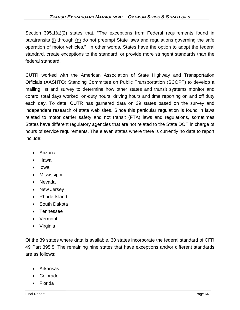Section 395.1(a)(2) states that, "The exceptions from Federal requirements found in paratransits (l) through (n) do not preempt State laws and regulations governing the safe operation of motor vehicles." In other words, States have the option to adopt the federal standard, create exceptions to the standard, or provide more stringent standards than the federal standard.

CUTR worked with the American Association of State Highway and Transportation Officials (AASHTO) Standing Committee on Public Transportation (SCOPT) to develop a mailing list and survey to determine how other states and transit systems monitor and control total days worked, on-duty hours, driving hours and time reporting on and off duty each day. To date, CUTR has garnered data on 39 states based on the survey and independent research of state web sites. Since this particular regulation is found in laws related to motor carrier safety and not transit (FTA) laws and regulations, sometimes States have different regulatory agencies that are not related to the State DOT in charge of hours of service requirements. The eleven states where there is currently no data to report include:

- Arizona
- Hawaii
- Iowa
- Mississippi
- Nevada
- New Jersey
- Rhode Island
- South Dakota
- Tennessee
- Vermont
- Virginia

Of the 39 states where data is available, 30 states incorporate the federal standard of CFR 49 Part 395.5. The remaining nine states that have exceptions and/or different standards are as follows:

- Arkansas
- Colorado
- Florida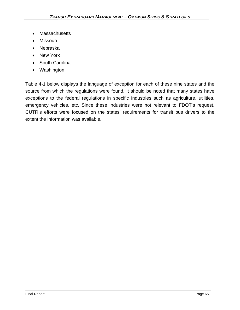- Massachusetts
- Missouri
- Nebraska
- New York
- South Carolina
- Washington

Table 4-1 below displays the language of exception for each of these nine states and the source from which the regulations were found. It should be noted that many states have exceptions to the federal regulations in specific industries such as agriculture, utilities, emergency vehicles, etc. Since these industries were not relevant to FDOT's request, CUTR's efforts were focused on the states' requirements for transit bus drivers to the extent the information was available.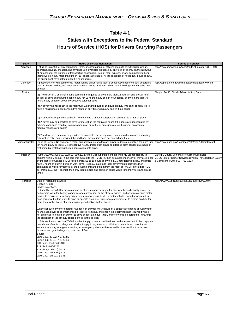## **Table 4-1**

## **States with Exceptions to the Federal Standard Hours of Service (HOS) for Drivers Carrying Passengers**

| <b>State</b>  | <b>Hours of Service Regulation</b>                                                                                                                                                                                                                                                                                                                                                                                                                                                                                                                                                                                                                                                                                                                                                                                                                                                                                                                                                                                                                                                                                                                                                                                                                                                                                                                                                                                                                                                                                                                                                                                                                 | <b>Source or Contact</b>                                                              |
|---------------|----------------------------------------------------------------------------------------------------------------------------------------------------------------------------------------------------------------------------------------------------------------------------------------------------------------------------------------------------------------------------------------------------------------------------------------------------------------------------------------------------------------------------------------------------------------------------------------------------------------------------------------------------------------------------------------------------------------------------------------------------------------------------------------------------------------------------------------------------------------------------------------------------------------------------------------------------------------------------------------------------------------------------------------------------------------------------------------------------------------------------------------------------------------------------------------------------------------------------------------------------------------------------------------------------------------------------------------------------------------------------------------------------------------------------------------------------------------------------------------------------------------------------------------------------------------------------------------------------------------------------------------------------|---------------------------------------------------------------------------------------|
| Arkansas      | It shall be unlawful for any companies, firms, or corporations, or officers of courts or individuals owning,<br>operating, leasing, or subleasing any lines using vehicles propelled by any form of energy on the highways<br>of Arkansas for the purpose of transporting passengers, freight, mail, express, or any commodity to keep<br>their drivers on duty more than fifteen (15) consecutive hours. At the expiration of fifteen (15) hours of duty,<br>the driver must have at least eight (8) hours of rest.                                                                                                                                                                                                                                                                                                                                                                                                                                                                                                                                                                                                                                                                                                                                                                                                                                                                                                                                                                                                                                                                                                                               | http://www.arkansas.gov/labor/code.php?code=23-13-101                                 |
| Colorado      | A passenger-carrying commercial motor vehicle driver has at least 8 consecutive hours off duty separating<br>each 12 hours on duty, and does not exceed 10 hours maximum driving time following 8 consecutive hours<br>off duty.                                                                                                                                                                                                                                                                                                                                                                                                                                                                                                                                                                                                                                                                                                                                                                                                                                                                                                                                                                                                                                                                                                                                                                                                                                                                                                                                                                                                                   | http://csp.state.co.us/downloads/compliancereview.pdf                                 |
| Florida       | (3) The driver of a bus shall not be permitted or required to drive more than 12 hours in any one 24-hour<br>period, or drive after having been on duty for 16 hours in any one 24-hour period, or drive more than 70<br>hours in any period of seven consecutive calendar days.<br>(a) A driver who has reached the maximum 12 driving hours or 16 hours on duty time shall be required to<br>have a minimum of eight consecutive hours off duty time within any one 24-hour period.                                                                                                                                                                                                                                                                                                                                                                                                                                                                                                                                                                                                                                                                                                                                                                                                                                                                                                                                                                                                                                                                                                                                                              | Chapter 14-90, Florida Administrative Code                                            |
|               | b) A driver's work period shall begin from the time a driver first reports for duty for his or her employer.<br>(4) A driver may be permitted to drive for more than the regulated hours if the hours are necessitated by<br>adverse conditions resulting from weather, road or traffic, or emergencies resulting from an accident,<br>medical reasons or disaster.<br>(5) The driver of a bus may be permitted to exceed his or her regulated hours in order to reach a regularly<br>established relief point, provided the additional driving time does not exceed one hour.                                                                                                                                                                                                                                                                                                                                                                                                                                                                                                                                                                                                                                                                                                                                                                                                                                                                                                                                                                                                                                                                     |                                                                                       |
| Massachusetts | Hours of Service. No owner of a motor bus shall cause or allow any driver to drive a motor bus for more than http://www.mass.gov/Eoca/docs/dte/cmr/220cmr155.pdf<br>ten hours in any period of 24 consecutive hours, unless such driver be afforded eight consecutive hours of<br>rest immediately following the ten hours aggregate drive.                                                                                                                                                                                                                                                                                                                                                                                                                                                                                                                                                                                                                                                                                                                                                                                                                                                                                                                                                                                                                                                                                                                                                                                                                                                                                                        |                                                                                       |
| Missouri      | RSMo 307.400, 390.063, 622.550, 390.201 are the Missouri statutes that bring FMCSR applicability to<br>carriers within Missouri. If the carrier is subject to the FMCSR's, then as a passenger carrier they are limited MODOT/Motor Carrier Services Division/Transportation Safety<br>by the Hours-of-Service (HOS) rules in Part 395 to 10 hours of driving, a 15 hour total work-day, and must<br>have 8 hours off-duty in-between work days. Federal, state, and local government operations (non-<br>contracted services run/staffed by the government) are exempt from the most of FMCSR's including HOS<br>per Part 390.2. So if exempt, then only their policies and common sense would limit their work and driving<br>times.                                                                                                                                                                                                                                                                                                                                                                                                                                                                                                                                                                                                                                                                                                                                                                                                                                                                                                             | Darrell E Chute, Senior Motor Carrier Specialist,<br>& Compliance Office 537-751-1853 |
| Nebraska      | State of Nebraska Statutes<br>Section 75-381<br>_imits; exceptions.<br>It shall be unlawful for any motor carrier of passengers or freight for hire, whether individually owned, a<br>partnership, a limited liability company, or a corporation, or the officers, agents, and servants of such motor<br>carrier, to require or permit any driver or operator of a bus, truck, or motor vehicle, owned or operated by<br>such carrier within this state, to drive or operate such bus, truck, or motor vehicle, or to remain on duty, for<br>more than twelve hours of a consecutive period of twenty-four hours.<br>Whenever such driver or operator has been on duty for twelve hours of a consecutive period of twenty-four<br>hours, such driver or operator shall be relieved from duty and shall not be permitted nor required by his or<br>her employer to remain on duty or to drive or operate a bus, truck, or motor vehicle, operated for hire, until<br>the expiration of the off-duty period defined in this section.<br>This section and section 75-382 shall not apply to taxicabs while driven and operated within the corporate<br>boundaries of a city or village and shall not apply in any case of a collision, a casualty, an unavoidable<br>accident requiring emergency service, an emergency which, with reasonable care, could not have been<br>foreseen and guarded against, or an act of God.<br>Source:<br>Laws 1931, c. 102, § 1, p. 273<br>Laws 1933, c. 104, § 1, p. 423<br>C.S.Supp., 1941, § 60-106<br>R.S.1943, § 60-1201<br>R.S.1943, (1988), § 60-1201<br>Laws 1993, LB 370, § 476<br>Laws 1993, LB 121, § 386 | http://srvwww.unicam.state.ne.us/Statutes2005.html                                    |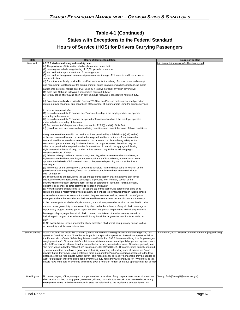## **Table 4-1 (Continued) States with Exceptions to the Federal Standard Hours of Service (HOS) for Drivers Carrying Passengers**

| <b>State</b>   | <b>Hours of Service Regulation</b>                                                                                                                                                                                            | <b>Source or Contact</b>                                     |
|----------------|-------------------------------------------------------------------------------------------------------------------------------------------------------------------------------------------------------------------------------|--------------------------------------------------------------|
| New York       | §723.3 Maximum driving and on-duty time.                                                                                                                                                                                      | http://www.dot.state.ny.us/ts/files/busregs.pdf              |
|                | (a) The provisions of this section shall apply to motor buses that:<br>(1) have a gross vehicle weight rating of 10,001 pounds or more; or                                                                                    |                                                              |
|                | (2) are used to transport more than 15 passengers; or                                                                                                                                                                         |                                                              |
|                | (3) are used, or being used, to transport persons under the age of 21 years to and from school or                                                                                                                             |                                                              |
|                | school activities.<br>(b) Except as specifically provided in this Part, such as for the driving of school buses and exempt                                                                                                    |                                                              |
|                | and non-exempt local buses or the driving of motor buses in adverse weather conditions, no motor                                                                                                                              |                                                              |
|                | carrier shall permit or require any driver used by it to drive nor shall any such driver drive:                                                                                                                               |                                                              |
|                | (1) more than 10 hours following 8 consecutive hours off duty; or                                                                                                                                                             |                                                              |
|                | (2) for any period after having been on duty 15 hours following 8 consecutive hours off duty.                                                                                                                                 |                                                              |
|                | (c) Except as specifically provided in Section 723.10 of this Part, no motor carrier shall permit or                                                                                                                          |                                                              |
|                | require a driver of a motor bus, regardless of the number of motor carriers using the driver's services                                                                                                                       |                                                              |
|                |                                                                                                                                                                                                                               |                                                              |
|                | to drive for any period after:<br>(1) having been on duty 60 hours in any 7 consecutive days if the employer does not operate                                                                                                 |                                                              |
|                | every day in the week; or                                                                                                                                                                                                     |                                                              |
|                | (2) having been on duty 70 hours in any period of 8 consecutive days if the employer operates                                                                                                                                 |                                                              |
|                | motor vehicles every day of the week.<br>(3) For treatment of sleeper berth time, see section 723.9(j) and (k) of this Part.                                                                                                  |                                                              |
|                | (d) (1) A driver who encounters adverse driving conditions and cannot, because of those conditions,                                                                                                                           |                                                              |
|                |                                                                                                                                                                                                                               |                                                              |
|                | (a), safely complete the run within the maximum times permitted by subdivisions (a), (b) and (c)<br>of this section may drive and be permitted or required to drive a motor bus for not more than                             |                                                              |
|                | two additional hours in order to complete that run or to reach a place offering safety for the                                                                                                                                |                                                              |
|                | vehicle occupants and security for the vehicle and its cargo. However, that driver may not                                                                                                                                    |                                                              |
|                | drive or be permitted or required to drive for more than 12 hours in the aggregate following<br>eight consecutive hours off duty; or after he has been on duty 15 hours following eight                                       |                                                              |
|                | consecutive hours off duty.                                                                                                                                                                                                   |                                                              |
|                | (2) Adverse driving conditions means snow, sleet, fog, other adverse weather conditions; a                                                                                                                                    |                                                              |
|                | highway covered with snow or ice; or unusual road and traffic conditions, none of which were<br>apparent on the basis of information known to the person dispatching the run at the time it                                   |                                                              |
|                | was begun.                                                                                                                                                                                                                    |                                                              |
|                | (3) In the case of any emergency, a driver may complete his run without being in violation of the                                                                                                                             |                                                              |
|                | provisions of these regulations, if such run could reasonably have been completed without<br>such emergency.                                                                                                                  |                                                              |
|                | $(4)$ The provisions of subdivisions (a), (b) and (c) of this section shall not apply to any carrier                                                                                                                          |                                                              |
|                | subject thereto when transporting passengers or property to or from any section of the                                                                                                                                        |                                                              |
|                | country with the object of providing relief in case of earthquake, flood, fire, famine, drought,<br>epidemic, pestilence, or other calamitous visitation or disaster.                                                         |                                                              |
|                | (e) Notwithstanding subdivisions (a), (b), (c) and (d) of this section, no person shall drive or be                                                                                                                           |                                                              |
|                | required to drive a motor vehicle while his ability or alertness is so impaired through fatigue, illness                                                                                                                      |                                                              |
|                | or any other cause so as to make it unsafe to begin or continue to drive, except in case of grave<br>emergency where the hazard would be increased by observance of this subdivision and then only                            |                                                              |
|                | to the nearest point at which safety is ensured; nor shall any person be required or permitted to drive                                                                                                                       |                                                              |
|                | a motor bus or go on duty or remain on duty when under the influence of any alcoholic beverage or                                                                                                                             |                                                              |
|                | liquor or any drug or noxious gas or vapor, nor shall any person be permitted to drink any alcoholic                                                                                                                          |                                                              |
|                | beverage or liquor, regardless of alcoholic content, or to take or otherwise use any narcotic or                                                                                                                              |                                                              |
|                | hallucinogenic drug or other substance which may impair his judgment or reaction time, while on                                                                                                                               |                                                              |
|                | duty.<br>(f) No owner, bailee, lessee or operator of any motor bus shall permit or require any person to drive                                                                                                                |                                                              |
|                | or be on duty in violation of this section.                                                                                                                                                                                   |                                                              |
|                |                                                                                                                                                                                                                               |                                                              |
| South Carolina | South Carolina DOT would like to inform you that we have no state regulations or statutes regarding bus<br>operator's "on-duty" and/or "drive" hours for public transportation operators. Instead, our operators follow       | Jim Frierson, 803-737-3601 or e-mail at friersonim@scdot.org |
|                | the Federal Motor Carrier Safety Regulations; specifically, Part 395.5 "Maximum driving time for passenger-                                                                                                                   |                                                              |
|                | carrying vehicles". Since our state's public transportation operators are all publicly-operated systems, work<br>rules ARE somewhat different than they would be for privately-operated services. Operators generally use     |                                                              |
|                | "bid runs" which follow the "10 on/8 off" rule (as per 49CFR Part 395.5). Of course, being publicly operated                                                                                                                  |                                                              |
|                | systems, operators here have a great deal of flexibility regarding scheduling since all drivers are "local"                                                                                                                   |                                                              |
|                | drivers; that is, they never leave a relatively small area and their "runs" are short as compared to the long-<br>distance, over-the-road private system driver. This makes it easy to "recall" them should they be needed to |                                                              |
|                | work "extra hours" which would be hours over the 10 duty hours they are scheduled for. When they do this,                                                                                                                     |                                                              |
|                | drivers have to be paid for overtime and still be given 8 hours off for rest or the bus operator may risk being c                                                                                                             |                                                              |
|                |                                                                                                                                                                                                                               |                                                              |
|                |                                                                                                                                                                                                                               |                                                              |
| Washington     | No person, agent, officer, manager, or superintendent or receiver of any corporation or owner of streetcars                                                                                                                   | Savary, Barb [SavaryB@wsdot.wa.gov]                          |
|                | shall require his, her, or its gripmen, motormen, drivers, or conductors to work more than ten hours in any                                                                                                                   |                                                              |
|                | twenty-four hours. All other references in State law refer back to the regulations adopted by USDOT.                                                                                                                          |                                                              |
|                |                                                                                                                                                                                                                               |                                                              |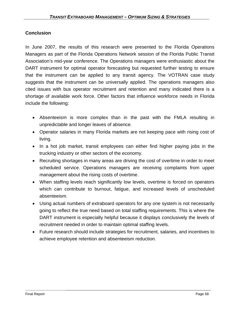## **Conclusion**

In June 2007, the results of this research were presented to the Florida Operations Managers as part of the Florida Operations Network session of the Florida Public Transit Association's mid-year conference. The Operations managers were enthusiastic about the DART instrument for optimal operator forecasting but requested further testing to ensure that the instrument can be applied to any transit agency. The VOTRAN case study suggests that the instrument can be universally applied. The operations managers also cited issues with bus operator recruitment and retention and many indicated there is a shortage of available work force. Other factors that influence workforce needs in Florida include the following:

- Absenteeism is more complex than in the past with the FMLA resulting in unpredictable and longer leaves of absence.
- Operator salaries in many Florida markets are not keeping pace with rising cost of living.
- In a hot job market, transit employees can either find higher paying jobs in the trucking industry or other sectors of the economy.
- Recruiting shortages in many areas are driving the cost of overtime in order to meet scheduled service. Operations managers are receiving complaints from upper management about the rising costs of overtime.
- When staffing levels reach significantly low levels, overtime is forced on operators which can contribute to burnout, fatigue, and increased levels of unscheduled absenteeism.
- Using actual numbers of extraboard operators for any one system is not necessarily going to reflect the true need based on total staffing requirements. This is where the DART instrument is especially helpful because it displays conclusively the levels of recruitment needed in order to maintain optimal staffing levels.
- Future research should include strategies for recruitment, salaries, and incentives to achieve employee retention and absenteeism reduction.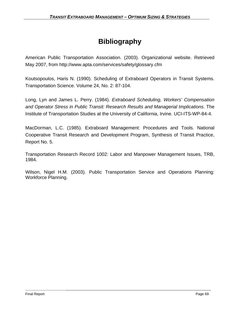# **Bibliography**

American Public Transportation Association. (2003). Organizational website. Retrieved May 2007, from http://www.apta.com/services/safety/glossary.cfm

Koutsopoulos, Haris N. (1990). Scheduling of Extraboard Operators in Transit Systems. Transportation Science. Volume 24, No. 2: 87-104.

Long, Lyn and James L. Perry. (1984). *Extraboard Scheduling, Workers' Compensation and Operator Stress in Public Transit: Research Results and Managerial Implications*. The Institute of Transportation Studies at the University of California, Irvine. UCI-ITS-WP-84-4.

MacDorman, L.C. (1985). Extraboard Management: Procedures and Tools. National Cooperative Transit Research and Development Program, Synthesis of Transit Practice, Report No. 5.

Transportation Research Record 1002: Labor and Manpower Management Issues, TRB, 1984.

Wilson, Nigel H.M. (2003). Public Transportation Service and Operations Planning: Workforce Planning.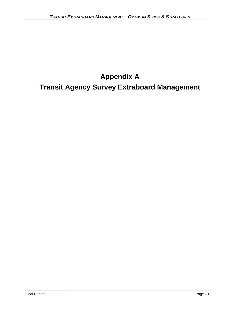# **Appendix A**

# **Transit Agency Survey Extraboard Management**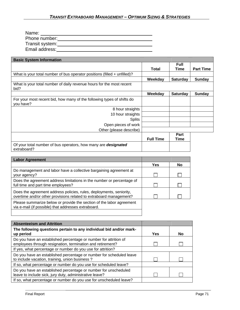| Name:           |  |
|-----------------|--|
| Phone number:   |  |
| Transit system: |  |
| Email address:  |  |

| <b>Basic System Information</b>                                                      |                  |                     |                  |
|--------------------------------------------------------------------------------------|------------------|---------------------|------------------|
|                                                                                      | <b>Total</b>     | <b>Full</b><br>Time | <b>Part Time</b> |
| What is your total number of bus operator positions (filled $+$ unfilled)?           |                  |                     |                  |
|                                                                                      | Weekday          | <b>Saturday</b>     | <b>Sunday</b>    |
| What is your total number of daily revenue hours for the most recent<br>bid?         |                  |                     |                  |
|                                                                                      | Weekday          | <b>Saturday</b>     | <b>Sunday</b>    |
| For your most recent bid, how many of the following types of shifts do<br>you have?  |                  |                     |                  |
| 8 hour straights                                                                     |                  |                     |                  |
| 10 hour straights                                                                    |                  |                     |                  |
| <b>Splits</b>                                                                        |                  |                     |                  |
| Open pieces of work                                                                  |                  |                     |                  |
| Other (please describe)                                                              |                  |                     |                  |
|                                                                                      | <b>Full Time</b> | Part<br>Time        |                  |
| Of your total number of bus operators, how many are <b>designated</b><br>extraboard? |                  |                     |                  |

| <b>Labor Agreement</b>                                                                                                                    |     |    |
|-------------------------------------------------------------------------------------------------------------------------------------------|-----|----|
|                                                                                                                                           | Yes | No |
| Do management and labor have a collective bargaining agreement at<br>your agency?                                                         |     |    |
| Does the agreement address limitations in the number or percentage of<br>full time and part time employees?                               |     |    |
| Does the agreement address policies, rules, deployments, seniority,<br>overtime and/or other provisions related to extraboard management? |     |    |
| Please summarize below or provide the section of the labor agreement<br>via e-mail (if possible) that addresses extraboard.               |     |    |
|                                                                                                                                           |     |    |

| <b>Absenteeism and Attrition</b>                                                                                               |     |           |
|--------------------------------------------------------------------------------------------------------------------------------|-----|-----------|
| The following questions pertain to any individual bid and/or mark-<br>up period                                                | Yes | <b>No</b> |
| Do you have an established percentage or number for attrition of<br>employees through resignation, termination and retirement? |     |           |
| If yes, what percentage or number do you use for attrition?                                                                    |     |           |
| Do you have an established percentage or number for scheduled leave<br>to include vacation, training, union business?          |     |           |
| If so, what percentage or number do you use for scheduled leave?                                                               |     |           |
| Do you have an established percentage or number for unscheduled<br>leave to include sick, jury duty, administrative leave?     |     |           |
| If so, what percentage or number do you use for unscheduled leave?                                                             |     |           |

i<br>S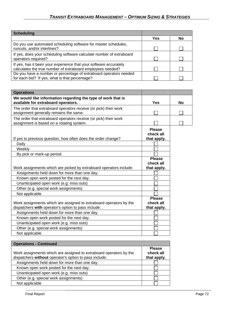| <b>Scheduling</b>                                                                                                               |     |           |
|---------------------------------------------------------------------------------------------------------------------------------|-----|-----------|
|                                                                                                                                 | Yes | <b>No</b> |
| Do you use automated scheduling software for master schedules,<br>runcuts, and/or interlines?                                   |     |           |
| If yes, does your scheduling software calculate number of extraboard<br>operators required?                                     |     |           |
| If yes, has it been your experience that your software accurately<br>calculates the true number of extraboard employees needed? |     |           |
| Do you have a number or percentage of extraboard operators needed<br>for each bid? If yes, what is that percentage?             |     |           |

| <b>Operations</b>                                                                                                         |                                           |           |
|---------------------------------------------------------------------------------------------------------------------------|-------------------------------------------|-----------|
| We would like information regarding the type of work that is<br>available for extraboard operators.                       | Yes                                       | <b>No</b> |
| The order that extraboard operators receive (or pick) their work<br>assignment generally remains the same.                |                                           |           |
| The order that extraboard operators receive (or pick) their work<br>assignment is based on a rotating system.             |                                           |           |
| If yes to previous question, how often does the order change?<br>Daily                                                    | <b>Please</b><br>check all<br>that apply. |           |
| Weekly                                                                                                                    |                                           |           |
| By pick or mark-up period.                                                                                                |                                           |           |
|                                                                                                                           | <b>Please</b>                             |           |
|                                                                                                                           | check all                                 |           |
| Work assignments which are picked by extraboard operators include:                                                        | that apply.                               |           |
| Assignments held down for more than one day.                                                                              |                                           |           |
| Known open work posted for the next day.                                                                                  |                                           |           |
| Unanticipated open work (e.g. miss outs)                                                                                  |                                           |           |
| Other (e.g. special work assignments)                                                                                     |                                           |           |
| Not applicable                                                                                                            |                                           |           |
| Work assignments which are assigned to extraboard operators by the<br>dispatchers with operator's option to pass include: | <b>Please</b><br>check all<br>that apply. |           |
| Assignments held down for more than one day.                                                                              |                                           |           |
| Known open work posted for the next day.                                                                                  |                                           |           |
| Unanticipated open work (e.g. miss outs)                                                                                  |                                           |           |
| Other (e.g. special work assignments)                                                                                     |                                           |           |
| Not applicable                                                                                                            |                                           |           |

| <b>Operations - Continued</b>                                                                                                |                                           |
|------------------------------------------------------------------------------------------------------------------------------|-------------------------------------------|
| Work assignments which are assigned to extraboard operators by the<br>dispatchers without operator's option to pass include: | <b>Please</b><br>check all<br>that apply. |
| Assignments held down for more than one day.                                                                                 |                                           |
| Known open work posted for the next day.                                                                                     |                                           |
| Unanticipated open work (e.g. miss outs)                                                                                     |                                           |
| Other (e.g. special work assignments)                                                                                        |                                           |
| Not applicable                                                                                                               |                                           |